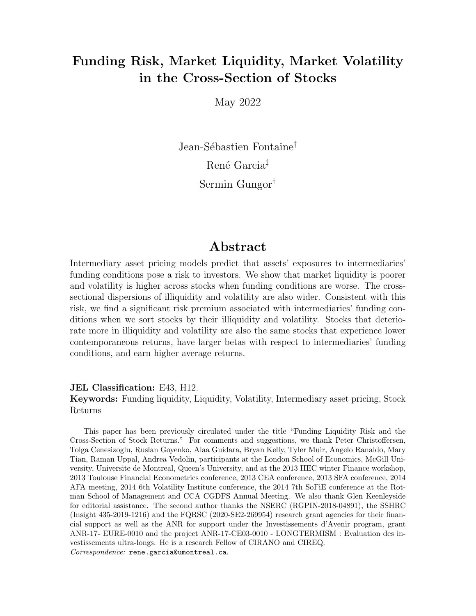### Funding Risk, Market Liquidity, Market Volatility in the Cross-Section of Stocks

May 2022

Jean-Sébastien Fontaine<sup>†</sup> René Garcia<sup>‡</sup> Sermin Gungor†

### Abstract

Intermediary asset pricing models predict that assets' exposures to intermediaries' funding conditions pose a risk to investors. We show that market liquidity is poorer and volatility is higher across stocks when funding conditions are worse. The crosssectional dispersions of illiquidity and volatility are also wider. Consistent with this risk, we find a significant risk premium associated with intermediaries' funding conditions when we sort stocks by their illiquidity and volatility. Stocks that deteriorate more in illiquidity and volatility are also the same stocks that experience lower contemporaneous returns, have larger betas with respect to intermediaries' funding conditions, and earn higher average returns.

### JEL Classification: E43, H12. Keywords: Funding liquidity, Liquidity, Volatility, Intermediary asset pricing, Stock Returns

This paper has been previously circulated under the title "Funding Liquidity Risk and the Cross-Section of Stock Returns." For comments and suggestions, we thank Peter Christoffersen, Tolga Cenesizoglu, Ruslan Goyenko, Alaa Guidara, Bryan Kelly, Tyler Muir, Angelo Ranaldo, Mary Tian, Raman Uppal, Andrea Vedolin, participants at the London School of Economics, McGill University, Universite de Montreal, Queen's University, and at the 2013 HEC winter Finance workshop, 2013 Toulouse Financial Econometrics conference, 2013 CEA conference, 2013 SFA conference, 2014 AFA meeting, 2014 6th Volatility Institute conference, the 2014 7th SoFiE conference at the Rotman School of Management and CCA CGDFS Annual Meeting. We also thank Glen Keenleyside for editorial assistance. The second author thanks the NSERC (RGPIN-2018-04891), the SSHRC (Insight 435-2019-1216) and the FQRSC (2020-SE2-269954) research grant agencies for their financial support as well as the ANR for support under the Investissements d'Avenir program, grant ANR-17- EURE-0010 and the project ANR-17-CE03-0010 - LONGTERMISM : Evaluation des investissements ultra-longs. He is a research Fellow of CIRANO and CIREQ. Correspondence: rene.garcia@umontreal.ca.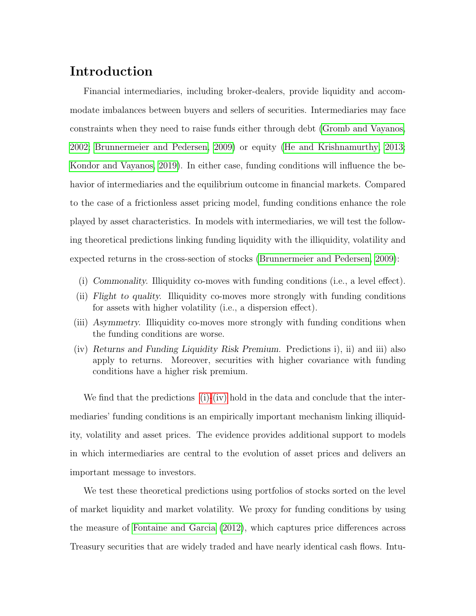### Introduction

Financial intermediaries, including broker-dealers, provide liquidity and accommodate imbalances between buyers and sellers of securities. Intermediaries may face constraints when they need to raise funds either through debt [\(Gromb and Vayanos,](#page-24-0) [2002;](#page-24-0) [Brunnermeier and Pedersen, 2009\)](#page-23-0) or equity [\(He and Krishnamurthy, 2013;](#page-24-1) [Kondor and Vayanos, 2019\)](#page-25-0). In either case, funding conditions will influence the behavior of intermediaries and the equilibrium outcome in financial markets. Compared to the case of a frictionless asset pricing model, funding conditions enhance the role played by asset characteristics. In models with intermediaries, we will test the following theoretical predictions linking funding liquidity with the illiquidity, volatility and expected returns in the cross-section of stocks [\(Brunnermeier and Pedersen, 2009\)](#page-23-0):

- <span id="page-1-0"></span>(i) Commonality. Illiquidity co-moves with funding conditions (i.e., a level effect).
- <span id="page-1-2"></span>(ii) Flight to quality. Illiquidity co-moves more strongly with funding conditions for assets with higher volatility (i.e., a dispersion effect).
- <span id="page-1-3"></span>(iii) Asymmetry. Illiquidity co-moves more strongly with funding conditions when the funding conditions are worse.
- <span id="page-1-1"></span>(iv) Returns and Funding Liquidity Risk Premium. Predictions i), ii) and iii) also apply to returns. Moreover, securities with higher covariance with funding conditions have a higher risk premium.

We find that the predictions  $(i)-(iv)$  $(i)-(iv)$  hold in the data and conclude that the intermediaries' funding conditions is an empirically important mechanism linking illiquidity, volatility and asset prices. The evidence provides additional support to models in which intermediaries are central to the evolution of asset prices and delivers an important message to investors.

We test these theoretical predictions using portfolios of stocks sorted on the level of market liquidity and market volatility. We proxy for funding conditions by using the measure of [Fontaine and Garcia](#page-24-2) [\(2012\)](#page-24-2), which captures price differences across Treasury securities that are widely traded and have nearly identical cash flows. Intu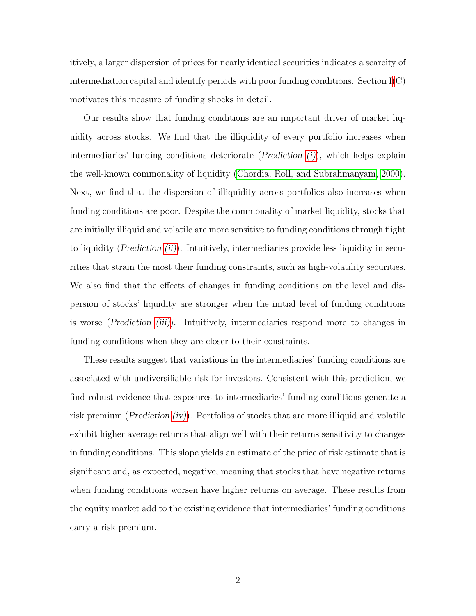itively, a larger dispersion of prices for nearly identical securities indicates a scarcity of intermediation capital and identify periods with poor funding conditions. Section  $I(C)$  $I(C)$ motivates this measure of funding shocks in detail.

Our results show that funding conditions are an important driver of market liquidity across stocks. We find that the illiquidity of every portfolio increases when intermediaries' funding conditions deteriorate (*Prediction*  $(i)$ ), which helps explain the well-known commonality of liquidity [\(Chordia, Roll, and Subrahmanyam, 2000\)](#page-23-1). Next, we find that the dispersion of illiquidity across portfolios also increases when funding conditions are poor. Despite the commonality of market liquidity, stocks that are initially illiquid and volatile are more sensitive to funding conditions through flight to liquidity (*Prediction [\(ii\)](#page-1-2)*). Intuitively, intermediaries provide less liquidity in securities that strain the most their funding constraints, such as high-volatility securities. We also find that the effects of changes in funding conditions on the level and dispersion of stocks' liquidity are stronger when the initial level of funding conditions is worse (Prediction [\(iii\)](#page-1-3)). Intuitively, intermediaries respond more to changes in funding conditions when they are closer to their constraints.

These results suggest that variations in the intermediaries' funding conditions are associated with undiversifiable risk for investors. Consistent with this prediction, we find robust evidence that exposures to intermediaries' funding conditions generate a risk premium (*Prediction [\(iv\)](#page-1-1)*). Portfolios of stocks that are more illiquid and volatile exhibit higher average returns that align well with their returns sensitivity to changes in funding conditions. This slope yields an estimate of the price of risk estimate that is significant and, as expected, negative, meaning that stocks that have negative returns when funding conditions worsen have higher returns on average. These results from the equity market add to the existing evidence that intermediaries' funding conditions carry a risk premium.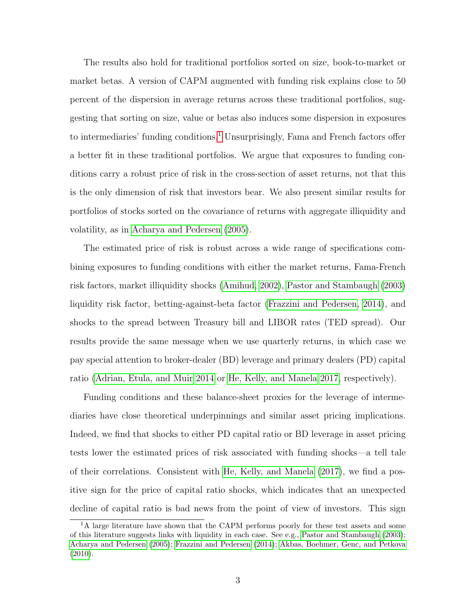The results also hold for traditional portfolios sorted on size, book-to-market or market betas. A version of CAPM augmented with funding risk explains close to 50 percent of the dispersion in average returns across these traditional portfolios, suggesting that sorting on size, value or betas also induces some dispersion in exposures to intermediaries' funding conditions.<sup>[1](#page-3-0)</sup> Unsurprisingly, Fama and French factors offer a better fit in these traditional portfolios. We argue that exposures to funding conditions carry a robust price of risk in the cross-section of asset returns, not that this is the only dimension of risk that investors bear. We also present similar results for portfolios of stocks sorted on the covariance of returns with aggregate illiquidity and volatility, as in [Acharya and Pedersen](#page-23-2) [\(2005\)](#page-23-2).

The estimated price of risk is robust across a wide range of specifications combining exposures to funding conditions with either the market returns, Fama-French risk factors, market illiquidity shocks [\(Amihud, 2002\)](#page-23-3), [Pastor and Stambaugh](#page-25-1) [\(2003\)](#page-25-1) liquidity risk factor, betting-against-beta factor [\(Frazzini and Pedersen, 2014\)](#page-24-3), and shocks to the spread between Treasury bill and LIBOR rates (TED spread). Our results provide the same message when we use quarterly returns, in which case we pay special attention to broker-dealer (BD) leverage and primary dealers (PD) capital ratio [\(Adrian, Etula, and Muir 2014](#page-23-4) or [He, Kelly, and Manela 2017,](#page-24-4) respectively).

Funding conditions and these balance-sheet proxies for the leverage of intermediaries have close theoretical underpinnings and similar asset pricing implications. Indeed, we find that shocks to either PD capital ratio or BD leverage in asset pricing tests lower the estimated prices of risk associated with funding shocks—a tell tale of their correlations. Consistent with [He, Kelly, and Manela](#page-24-4) [\(2017\)](#page-24-4), we find a positive sign for the price of capital ratio shocks, which indicates that an unexpected decline of capital ratio is bad news from the point of view of investors. This sign

<span id="page-3-0"></span><sup>&</sup>lt;sup>1</sup>A large literature have shown that the CAPM performs poorly for these test assets and some of this literature suggests links with liquidity in each case. See e.g., [Pastor and Stambaugh](#page-25-1) [\(2003\)](#page-25-1); [Acharya and Pedersen](#page-23-2) [\(2005\)](#page-23-2); [Frazzini and Pedersen](#page-24-3) [\(2014\)](#page-24-3); [Akbas, Boehmer, Genc, and Petkova](#page-23-5) [\(2010\)](#page-23-5).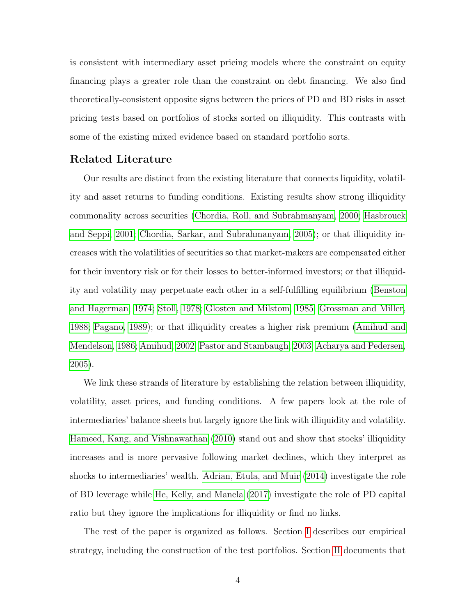is consistent with intermediary asset pricing models where the constraint on equity financing plays a greater role than the constraint on debt financing. We also find theoretically-consistent opposite signs between the prices of PD and BD risks in asset pricing tests based on portfolios of stocks sorted on illiquidity. This contrasts with some of the existing mixed evidence based on standard portfolio sorts.

### Related Literature

Our results are distinct from the existing literature that connects liquidity, volatility and asset returns to funding conditions. Existing results show strong illiquidity commonality across securities [\(Chordia, Roll, and Subrahmanyam, 2000;](#page-23-1) [Hasbrouck](#page-24-5) [and Seppi, 2001;](#page-24-5) [Chordia, Sarkar, and Subrahmanyam, 2005\)](#page-23-6); or that illiquidity increases with the volatilities of securities so that market-makers are compensated either for their inventory risk or for their losses to better-informed investors; or that illiquidity and volatility may perpetuate each other in a self-fulfilling equilibrium [\(Benston](#page-23-7) [and Hagerman, 1974;](#page-23-7) [Stoll, 1978;](#page-25-2) [Glosten and Milstom, 1985;](#page-24-6) [Grossman and Miller,](#page-24-7) [1988;](#page-24-7) [Pagano, 1989\)](#page-25-3); or that illiquidity creates a higher risk premium [\(Amihud and](#page-23-8) [Mendelson, 1986;](#page-23-8) [Amihud, 2002;](#page-23-3) [Pastor and Stambaugh, 2003;](#page-25-1) [Acharya and Pedersen,](#page-23-2) [2005\)](#page-23-2).

We link these strands of literature by establishing the relation between illiquidity, volatility, asset prices, and funding conditions. A few papers look at the role of intermediaries' balance sheets but largely ignore the link with illiquidity and volatility. [Hameed, Kang, and Vishnawathan](#page-24-8) [\(2010\)](#page-24-8) stand out and show that stocks' illiquidity increases and is more pervasive following market declines, which they interpret as shocks to intermediaries' wealth. [Adrian, Etula, and Muir](#page-23-4) [\(2014\)](#page-23-4) investigate the role of BD leverage while [He, Kelly, and Manela](#page-24-4) [\(2017\)](#page-24-4) investigate the role of PD capital ratio but they ignore the implications for illiquidity or find no links.

The rest of the paper is organized as follows. Section [I](#page-5-0) describes our empirical strategy, including the construction of the test portfolios. Section [II](#page-9-0) documents that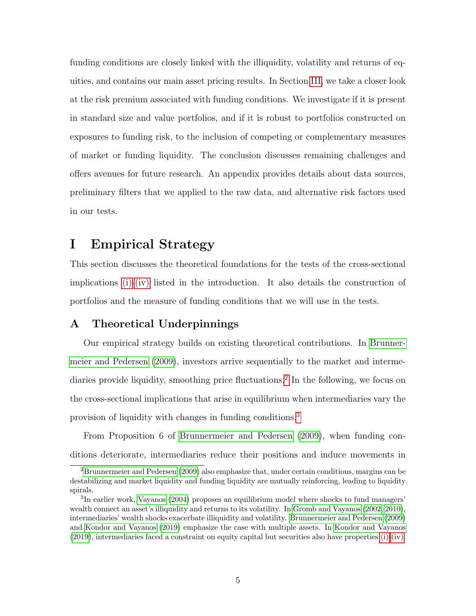funding conditions are closely linked with the illiquidity, volatility and returns of equities, and contains our main asset pricing results. In Section [III,](#page-16-0) we take a closer look at the risk premium associated with funding conditions. We investigate if it is present in standard size and value portfolios, and if it is robust to portfolios constructed on exposures to funding risk, to the inclusion of competing or complementary measures of market or funding liquidity. The conclusion discusses remaining challenges and offers avenues for future research. An appendix provides details about data sources, preliminary filters that we applied to the raw data, and alternative risk factors used in our tests.

### <span id="page-5-0"></span>I Empirical Strategy

This section discusses the theoretical foundations for the tests of the cross-sectional implications [\(i\)-](#page-1-0)[\(iv\)](#page-1-1) listed in the introduction. It also details the construction of portfolios and the measure of funding conditions that we will use in the tests.

### A Theoretical Underpinnings

Our empirical strategy builds on existing theoretical contributions. In [Brunner](#page-23-0)[meier and Pedersen](#page-23-0) [\(2009\)](#page-23-0), investors arrive sequentially to the market and interme-diaries provide liquidity, smoothing price fluctuations.<sup>[2](#page-5-1)</sup> In the following, we focus on the cross-sectional implications that arise in equilibrium when intermediaries vary the provision of liquidity with changes in funding conditions.[3](#page-5-2)

From Proposition 6 of [Brunnermeier and Pedersen](#page-23-0) [\(2009\)](#page-23-0), when funding conditions deteriorate, intermediaries reduce their positions and induce movements in

<span id="page-5-1"></span><sup>2</sup>[Brunnermeier and Pedersen](#page-23-0) [\(2009\)](#page-23-0) also emphasize that, under certain conditions, margins can be destabilizing and market liquidity and funding liquidity are mutually reinforcing, leading to liquidity spirals.

<span id="page-5-2"></span><sup>&</sup>lt;sup>3</sup>In earlier work, [Vayanos](#page-25-4) [\(2004\)](#page-25-4) proposes an equilibrium model where shocks to fund managers' wealth connect an asset's illiquidity and returns to its volatility. In [Gromb and Vayanos](#page-24-0) [\(2002,](#page-24-0) [2010\)](#page-24-9), intermediaries' wealth shocks exacerbate illiquidity and volatility. [Brunnermeier and Pedersen](#page-23-0) [\(2009\)](#page-23-0) and [Kondor and Vayanos](#page-25-0) [\(2019\)](#page-25-0) emphasize the case with multiple assets. In [Kondor and Vayanos](#page-25-0) [\(2019\)](#page-25-0), intermediaries faced a constraint on equity capital but securities also have properties [\(i\)-](#page-1-0)[\(iv\).](#page-1-1)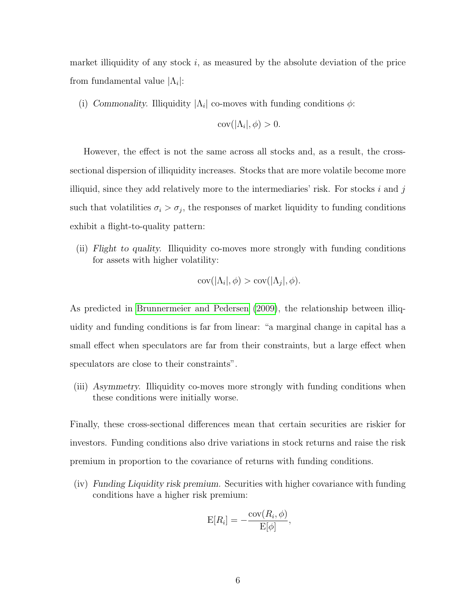market illiquidity of any stock  $i$ , as measured by the absolute deviation of the price from fundamental value  $|\Lambda_i|$ :

(i) Commonality. Illiquidity  $|\Lambda_i|$  co-moves with funding conditions  $\phi$ :

$$
cov(|\Lambda_i|, \phi) > 0.
$$

However, the effect is not the same across all stocks and, as a result, the crosssectional dispersion of illiquidity increases. Stocks that are more volatile become more illiquid, since they add relatively more to the intermediaries' risk. For stocks  $i$  and  $j$ such that volatilities  $\sigma_i > \sigma_j$ , the responses of market liquidity to funding conditions exhibit a flight-to-quality pattern:

(ii) Flight to quality. Illiquidity co-moves more strongly with funding conditions for assets with higher volatility:

$$
cov(|\Lambda_i|, \phi) > cov(|\Lambda_j|, \phi).
$$

As predicted in [Brunnermeier and Pedersen](#page-23-0) [\(2009\)](#page-23-0), the relationship between illiquidity and funding conditions is far from linear: "a marginal change in capital has a small effect when speculators are far from their constraints, but a large effect when speculators are close to their constraints".

(iii) Asymmetry. Illiquidity co-moves more strongly with funding conditions when these conditions were initially worse.

Finally, these cross-sectional differences mean that certain securities are riskier for investors. Funding conditions also drive variations in stock returns and raise the risk premium in proportion to the covariance of returns with funding conditions.

(iv) Funding Liquidity risk premium. Securities with higher covariance with funding conditions have a higher risk premium:

$$
E[R_i] = -\frac{\text{cov}(R_i, \phi)}{E[\phi]},
$$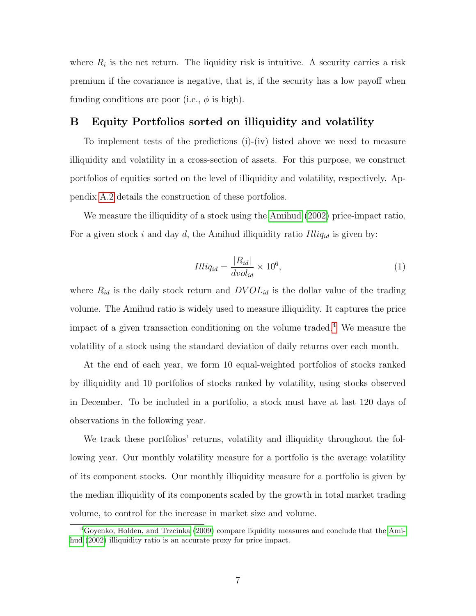where  $R_i$  is the net return. The liquidity risk is intuitive. A security carries a risk premium if the covariance is negative, that is, if the security has a low payoff when funding conditions are poor (i.e.,  $\phi$  is high).

### B Equity Portfolios sorted on illiquidity and volatility

To implement tests of the predictions (i)-(iv) listed above we need to measure illiquidity and volatility in a cross-section of assets. For this purpose, we construct portfolios of equities sorted on the level of illiquidity and volatility, respectively. Appendix [A.2](#page-27-0) details the construction of these portfolios.

We measure the illiquidity of a stock using the [Amihud](#page-23-3) [\(2002\)](#page-23-3) price-impact ratio. For a given stock i and day d, the Amihud illiquidity ratio  $Illiq_{id}$  is given by:

$$
Illiq_{id} = \frac{|R_{id}|}{dvol_{id}} \times 10^6,
$$
\n<sup>(1)</sup>

where  $R_{id}$  is the daily stock return and  $DVOL_{id}$  is the dollar value of the trading volume. The Amihud ratio is widely used to measure illiquidity. It captures the price impact of a given transaction conditioning on the volume traded.[4](#page-7-0) We measure the volatility of a stock using the standard deviation of daily returns over each month.

At the end of each year, we form 10 equal-weighted portfolios of stocks ranked by illiquidity and 10 portfolios of stocks ranked by volatility, using stocks observed in December. To be included in a portfolio, a stock must have at last 120 days of observations in the following year.

We track these portfolios' returns, volatility and illiquidity throughout the following year. Our monthly volatility measure for a portfolio is the average volatility of its component stocks. Our monthly illiquidity measure for a portfolio is given by the median illiquidity of its components scaled by the growth in total market trading volume, to control for the increase in market size and volume.

<span id="page-7-0"></span><sup>4</sup>[Goyenko, Holden, and Trzcinka](#page-24-10) [\(2009\)](#page-24-10) compare liquidity measures and conclude that the [Ami](#page-23-3)[hud](#page-23-3) [\(2002\)](#page-23-3) illiquidity ratio is an accurate proxy for price impact.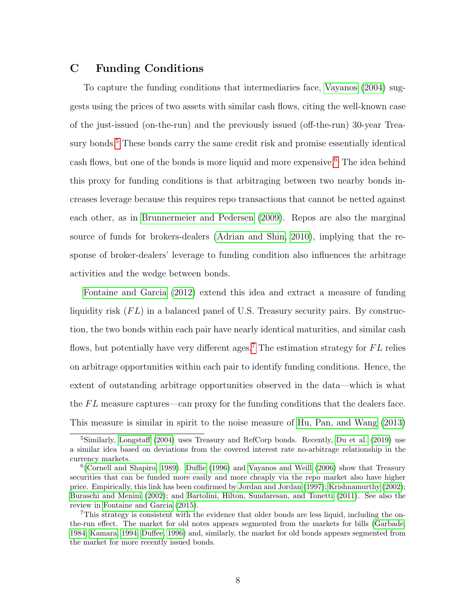### <span id="page-8-0"></span>C Funding Conditions

To capture the funding conditions that intermediaries face, [Vayanos](#page-25-4) [\(2004\)](#page-25-4) suggests using the prices of two assets with similar cash flows, citing the well-known case of the just-issued (on-the-run) and the previously issued (off-the-run) 30-year Trea-sury bonds.<sup>[5](#page-8-1)</sup> These bonds carry the same credit risk and promise essentially identical cash flows, but one of the bonds is more liquid and more expensive.<sup>[6](#page-8-2)</sup> The idea behind this proxy for funding conditions is that arbitraging between two nearby bonds increases leverage because this requires repo transactions that cannot be netted against each other, as in [Brunnermeier and Pedersen](#page-23-0) [\(2009\)](#page-23-0). Repos are also the marginal source of funds for brokers-dealers [\(Adrian and Shin, 2010\)](#page-23-9), implying that the response of broker-dealers' leverage to funding condition also influences the arbitrage activities and the wedge between bonds.

[Fontaine and Garcia](#page-24-2) [\(2012\)](#page-24-2) extend this idea and extract a measure of funding liquidity risk  $(FL)$  in a balanced panel of U.S. Treasury security pairs. By construction, the two bonds within each pair have nearly identical maturities, and similar cash flows, but potentially have very different ages.<sup>[7](#page-8-3)</sup> The estimation strategy for  $FL$  relies on arbitrage opportunities within each pair to identify funding conditions. Hence, the extent of outstanding arbitrage opportunities observed in the data—which is what the  $FL$  measure captures—can proxy for the funding conditions that the dealers face. This measure is similar in spirit to the noise measure of [Hu, Pan, and Wang](#page-25-5) [\(2013\)](#page-25-5)

<span id="page-8-1"></span><sup>5</sup>Similarly, [Longstaff](#page-25-6) [\(2004\)](#page-25-6) uses Treasury and RefCorp bonds. Recently, [Du et al.](#page-23-10) [\(2019\)](#page-23-10) use a similar idea based on deviations from the covered interest rate no-arbitrage relationship in the currency markets.

<span id="page-8-2"></span><sup>&</sup>lt;sup>6</sup> [\(Cornell and Shapiro, 1989\)](#page-23-11). [Duffie](#page-23-12) [\(1996\)](#page-23-12) and [Vayanos and Weill](#page-25-7) [\(2006\)](#page-25-7) show that Treasury securities that can be funded more easily and more cheaply via the repo market also have higher price. Empirically, this link has been confirmed by [Jordan and Jordan](#page-25-8) [\(1997\)](#page-25-8); [Krishnamurthy](#page-25-9) [\(2002\)](#page-25-9); [Buraschi and Menini](#page-23-13) [\(2002\)](#page-23-13); and [Bartolini, Hilton, Sundaresan, and Tonetti](#page-23-14) [\(2011\)](#page-23-14). See also the review in [Fontaine and Garcia](#page-24-11) [\(2015\)](#page-24-11).

<span id="page-8-3"></span><sup>7</sup>This strategy is consistent with the evidence that older bonds are less liquid, including the onthe-run effect. The market for old notes appears segmented from the markets for bills [\(Garbade,](#page-24-12) [1984;](#page-24-12) [Kamara, 1994;](#page-25-10) [Duffee, 1996\)](#page-23-15) and, similarly, the market for old bonds appears segmented from the market for more recently issued bonds.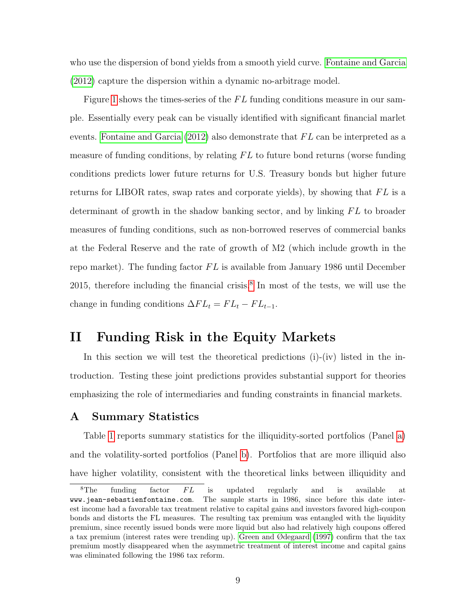who use the dispersion of bond yields from a smooth yield curve. [Fontaine and Garcia](#page-24-2) [\(2012\)](#page-24-2) capture the dispersion within a dynamic no-arbitrage model.

Figure [1](#page-39-0) shows the times-series of the  $FL$  funding conditions measure in our sample. Essentially every peak can be visually identified with significant financial marlet events. [Fontaine and Garcia](#page-24-2)  $(2012)$  also demonstrate that  $FL$  can be interpreted as a measure of funding conditions, by relating  $FL$  to future bond returns (worse funding conditions predicts lower future returns for U.S. Treasury bonds but higher future returns for LIBOR rates, swap rates and corporate yields), by showing that  $FL$  is a determinant of growth in the shadow banking sector, and by linking  $FL$  to broader measures of funding conditions, such as non-borrowed reserves of commercial banks at the Federal Reserve and the rate of growth of M2 (which include growth in the repo market). The funding factor  $FL$  is available from January 1986 until December 2015, therefore including the financial crisis.<sup>[8](#page-9-1)</sup> In most of the tests, we will use the change in funding conditions  $\Delta FL_t = FL_t - FL_{t-1}$ .

### <span id="page-9-0"></span>II Funding Risk in the Equity Markets

In this section we will test the theoretical predictions  $(i)$ - $(iv)$  listed in the introduction. Testing these joint predictions provides substantial support for theories emphasizing the role of intermediaries and funding constraints in financial markets.

### A Summary Statistics

Table [1](#page-29-0) reports summary statistics for the illiquidity-sorted portfolios (Panel [a\)](#page-29-1) and the volatility-sorted portfolios (Panel [b\)](#page-29-2). Portfolios that are more illiquid also have higher volatility, consistent with the theoretical links between illiquidity and

<span id="page-9-1"></span> ${}^{8}$ The funding factor  $FL$  is updated regularly and is available at www.jean-sebastienfontaine.com. The sample starts in 1986, since before this date interest income had a favorable tax treatment relative to capital gains and investors favored high-coupon bonds and distorts the FL measures. The resulting tax premium was entangled with the liquidity premium, since recently issued bonds were more liquid but also had relatively high coupons offered a tax premium (interest rates were trending up). [Green and Ødegaard](#page-24-13) [\(1997\)](#page-24-13) confirm that the tax premium mostly disappeared when the asymmetric treatment of interest income and capital gains was eliminated following the 1986 tax reform.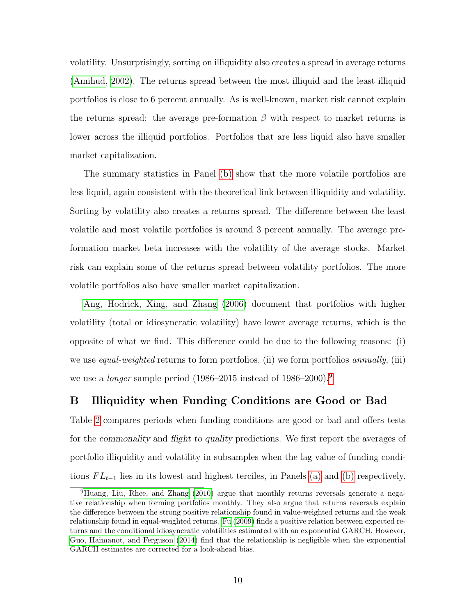volatility. Unsurprisingly, sorting on illiquidity also creates a spread in average returns [\(Amihud, 2002\)](#page-23-3). The returns spread between the most illiquid and the least illiquid portfolios is close to 6 percent annually. As is well-known, market risk cannot explain the returns spread: the average pre-formation  $\beta$  with respect to market returns is lower across the illiquid portfolios. Portfolios that are less liquid also have smaller market capitalization.

The summary statistics in Panel [\(b\)](#page-29-2) show that the more volatile portfolios are less liquid, again consistent with the theoretical link between illiquidity and volatility. Sorting by volatility also creates a returns spread. The difference between the least volatile and most volatile portfolios is around 3 percent annually. The average preformation market beta increases with the volatility of the average stocks. Market risk can explain some of the returns spread between volatility portfolios. The more volatile portfolios also have smaller market capitalization.

[Ang, Hodrick, Xing, and Zhang](#page-23-16) [\(2006\)](#page-23-16) document that portfolios with higher volatility (total or idiosyncratic volatility) have lower average returns, which is the opposite of what we find. This difference could be due to the following reasons: (i) we use *equal-weighted* returns to form portfolios, (ii) we form portfolios *annually*, (iii) we use a *longer* sample period  $(1986–2015$  $(1986–2015$  $(1986–2015$  instead of  $1986–2000$ .<sup>9</sup>

### B Illiquidity when Funding Conditions are Good or Bad

Table [2](#page-30-0) compares periods when funding conditions are good or bad and offers tests for the commonality and flight to quality predictions. We first report the averages of portfolio illiquidity and volatility in subsamples when the lag value of funding conditions  $FL_{t-1}$  lies in its lowest and highest terciles, in Panels [\(a\)](#page-30-1) and [\(b\)](#page-30-2) respectively.

<span id="page-10-0"></span><sup>9</sup>[Huang, Liu, Rhee, and Zhang](#page-25-11) [\(2010\)](#page-25-11) argue that monthly returns reversals generate a negative relationship when forming portfolios monthly. They also argue that returns reversals explain the difference between the strong positive relationship found in value-weighted returns and the weak relationship found in equal-weighted returns. [Fu](#page-24-14) [\(2009\)](#page-24-14) finds a positive relation between expected returns and the conditional idiosyncratic volatilities estimated with an exponential GARCH. However, [Guo, Haimanot, and Ferguson](#page-24-15) [\(2014\)](#page-24-15) find that the relationship is negligible when the exponential GARCH estimates are corrected for a look-ahead bias.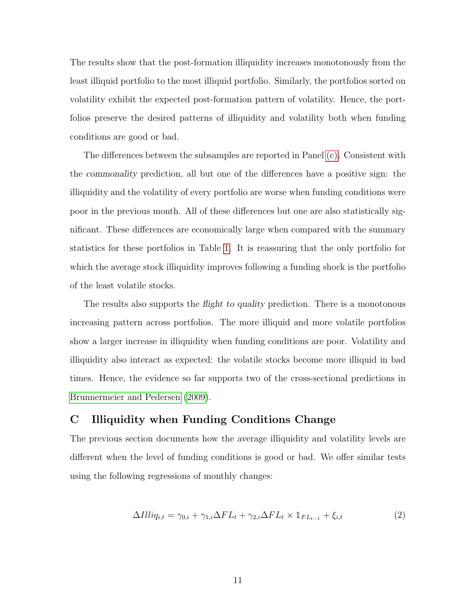The results show that the post-formation illiquidity increases monotonously from the least illiquid portfolio to the most illiquid portfolio. Similarly, the portfolios sorted on volatility exhibit the expected post-formation pattern of volatility. Hence, the portfolios preserve the desired patterns of illiquidity and volatility both when funding conditions are good or bad.

The differences between the subsamples are reported in Panel [\(c\).](#page-30-3) Consistent with the commonality prediction, all but one of the differences have a positive sign: the illiquidity and the volatility of every portfolio are worse when funding conditions were poor in the previous month. All of these differences but one are also statistically significant. These differences are economically large when compared with the summary statistics for these portfolios in Table [1.](#page-29-0) It is reassuring that the only portfolio for which the average stock illiquidity improves following a funding shock is the portfolio of the least volatile stocks.

The results also supports the *flight to quality* prediction. There is a monotonous increasing pattern across portfolios. The more illiquid and more volatile portfolios show a larger increase in illiquidity when funding conditions are poor. Volatility and illiquidity also interact as expected: the volatile stocks become more illiquid in bad times. Hence, the evidence so far supports two of the cross-sectional predictions in [Brunnermeier and Pedersen](#page-23-0) [\(2009\)](#page-23-0).

### C Illiquidity when Funding Conditions Change

The previous section documents how the average illiquidity and volatility levels are different when the level of funding conditions is good or bad. We offer similar tests using the following regressions of monthly changes:

$$
\Delta Illiq_{i,t} = \gamma_{0,i} + \gamma_{1,i}\Delta FL_t + \gamma_{2,i}\Delta FL_t \times \mathbb{1}_{FL_{t-1}} + \xi_{i,t}
$$
\n
$$
(2)
$$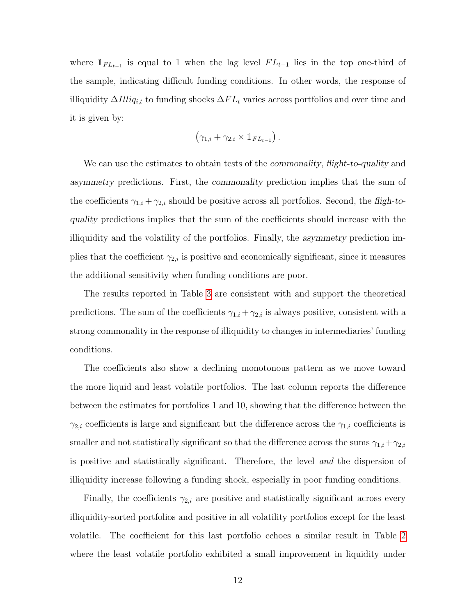where  $\mathbb{1}_{FL_{t-1}}$  is equal to 1 when the lag level  $FL_{t-1}$  lies in the top one-third of the sample, indicating difficult funding conditions. In other words, the response of illiquidity  $\Delta I lliq_{i,t}$  to funding shocks  $\Delta FL_t$  varies across portfolios and over time and it is given by:

$$
(\gamma_{1,i} + \gamma_{2,i} \times \mathbb{1}_{FL_{t-1}}).
$$

We can use the estimates to obtain tests of the *commonality*, flight-to-quality and asymmetry predictions. First, the commonality prediction implies that the sum of the coefficients  $\gamma_{1,i} + \gamma_{2,i}$  should be positive across all portfolios. Second, the fligh-toquality predictions implies that the sum of the coefficients should increase with the illiquidity and the volatility of the portfolios. Finally, the asymmetry prediction implies that the coefficient  $\gamma_{2,i}$  is positive and economically significant, since it measures the additional sensitivity when funding conditions are poor.

The results reported in Table [3](#page-31-0) are consistent with and support the theoretical predictions. The sum of the coefficients  $\gamma_{1,i} + \gamma_{2,i}$  is always positive, consistent with a strong commonality in the response of illiquidity to changes in intermediaries' funding conditions.

The coefficients also show a declining monotonous pattern as we move toward the more liquid and least volatile portfolios. The last column reports the difference between the estimates for portfolios 1 and 10, showing that the difference between the  $\gamma_{2,i}$  coefficients is large and significant but the difference across the  $\gamma_{1,i}$  coefficients is smaller and not statistically significant so that the difference across the sums  $\gamma_{1,i} + \gamma_{2,i}$ is positive and statistically significant. Therefore, the level and the dispersion of illiquidity increase following a funding shock, especially in poor funding conditions.

Finally, the coefficients  $\gamma_{2,i}$  are positive and statistically significant across every illiquidity-sorted portfolios and positive in all volatility portfolios except for the least volatile. The coefficient for this last portfolio echoes a similar result in Table [2](#page-30-0) where the least volatile portfolio exhibited a small improvement in liquidity under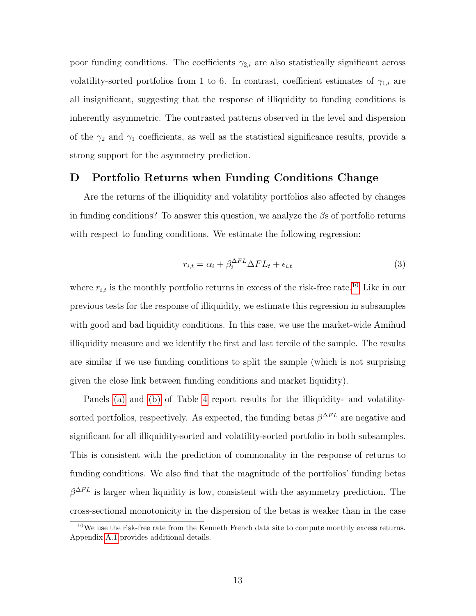poor funding conditions. The coefficients  $\gamma_{2,i}$  are also statistically significant across volatility-sorted portfolios from 1 to 6. In contrast, coefficient estimates of  $\gamma_{1,i}$  are all insignificant, suggesting that the response of illiquidity to funding conditions is inherently asymmetric. The contrasted patterns observed in the level and dispersion of the  $\gamma_2$  and  $\gamma_1$  coefficients, as well as the statistical significance results, provide a strong support for the asymmetry prediction.

### D Portfolio Returns when Funding Conditions Change

Are the returns of the illiquidity and volatility portfolios also affected by changes in funding conditions? To answer this question, we analyze the  $\beta$ s of portfolio returns with respect to funding conditions. We estimate the following regression:

$$
r_{i,t} = \alpha_i + \beta_i^{\Delta FL} \Delta FL_t + \epsilon_{i,t}
$$
\n(3)

where  $r_{i,t}$  is the monthly portfolio returns in excess of the risk-free rate.<sup>[10](#page-13-0)</sup> Like in our previous tests for the response of illiquidity, we estimate this regression in subsamples with good and bad liquidity conditions. In this case, we use the market-wide Amihud illiquidity measure and we identify the first and last tercile of the sample. The results are similar if we use funding conditions to split the sample (which is not surprising given the close link between funding conditions and market liquidity).

Panels [\(a\)](#page-32-0) and [\(b\)](#page-32-1) of Table [4](#page-32-2) report results for the illiquidity- and volatilitysorted portfolios, respectively. As expected, the funding betas  $\beta^{\Delta FL}$  are negative and significant for all illiquidity-sorted and volatility-sorted portfolio in both subsamples. This is consistent with the prediction of commonality in the response of returns to funding conditions. We also find that the magnitude of the portfolios' funding betas  $\beta^{\Delta FL}$  is larger when liquidity is low, consistent with the asymmetry prediction. The cross-sectional monotonicity in the dispersion of the betas is weaker than in the case

<span id="page-13-0"></span> $10$ We use the risk-free rate from the Kenneth French data site to compute monthly excess returns. Appendix [A.1](#page-26-0) provides additional details.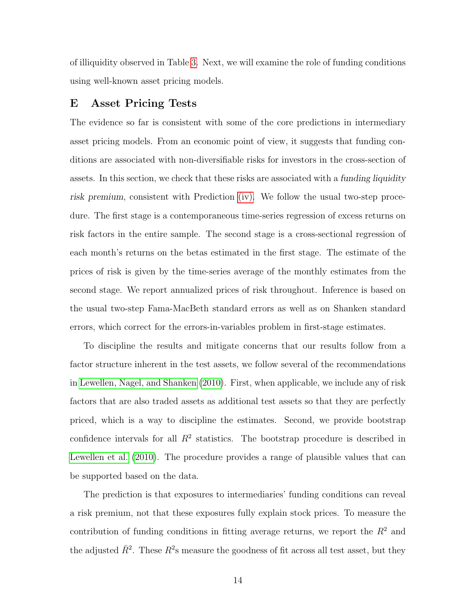of illiquidity observed in Table [3.](#page-31-0) Next, we will examine the role of funding conditions using well-known asset pricing models.

### E Asset Pricing Tests

The evidence so far is consistent with some of the core predictions in intermediary asset pricing models. From an economic point of view, it suggests that funding conditions are associated with non-diversifiable risks for investors in the cross-section of assets. In this section, we check that these risks are associated with a funding liquidity risk premium, consistent with Prediction [\(iv\).](#page-1-1) We follow the usual two-step procedure. The first stage is a contemporaneous time-series regression of excess returns on risk factors in the entire sample. The second stage is a cross-sectional regression of each month's returns on the betas estimated in the first stage. The estimate of the prices of risk is given by the time-series average of the monthly estimates from the second stage. We report annualized prices of risk throughout. Inference is based on the usual two-step Fama-MacBeth standard errors as well as on Shanken standard errors, which correct for the errors-in-variables problem in first-stage estimates.

To discipline the results and mitigate concerns that our results follow from a factor structure inherent in the test assets, we follow several of the recommendations in [Lewellen, Nagel, and Shanken](#page-25-12) [\(2010\)](#page-25-12). First, when applicable, we include any of risk factors that are also traded assets as additional test assets so that they are perfectly priced, which is a way to discipline the estimates. Second, we provide bootstrap confidence intervals for all  $R<sup>2</sup>$  statistics. The bootstrap procedure is described in [Lewellen et al.](#page-25-12) [\(2010\)](#page-25-12). The procedure provides a range of plausible values that can be supported based on the data.

The prediction is that exposures to intermediaries' funding conditions can reveal a risk premium, not that these exposures fully explain stock prices. To measure the contribution of funding conditions in fitting average returns, we report the  $R<sup>2</sup>$  and the adjusted  $\bar{R}^2$ . These  $R^2$ s measure the goodness of fit across all test asset, but they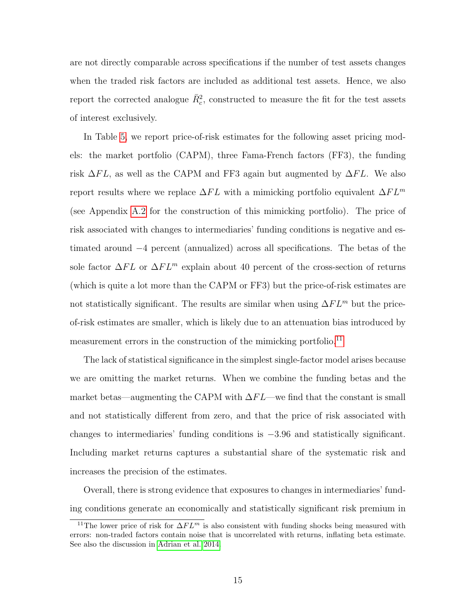are not directly comparable across specifications if the number of test assets changes when the traded risk factors are included as additional test assets. Hence, we also report the corrected analogue  $\bar{R}_c^2$ , constructed to measure the fit for the test assets of interest exclusively.

In Table [5,](#page-33-0) we report price-of-risk estimates for the following asset pricing models: the market portfolio (CAPM), three Fama-French factors (FF3), the funding risk  $\Delta FL$ , as well as the CAPM and FF3 again but augmented by  $\Delta FL$ . We also report results where we replace  $\Delta FL$  with a mimicking portfolio equivalent  $\Delta FL^m$ (see Appendix [A.2](#page-27-0) for the construction of this mimicking portfolio). The price of risk associated with changes to intermediaries' funding conditions is negative and estimated around −4 percent (annualized) across all specifications. The betas of the sole factor  $\Delta FL$  or  $\Delta FL^m$  explain about 40 percent of the cross-section of returns (which is quite a lot more than the CAPM or FF3) but the price-of-risk estimates are not statistically significant. The results are similar when using  $\Delta FL^m$  but the priceof-risk estimates are smaller, which is likely due to an attenuation bias introduced by measurement errors in the construction of the mimicking portfolio.<sup>[11](#page-15-0)</sup>

The lack of statistical significance in the simplest single-factor model arises because we are omitting the market returns. When we combine the funding betas and the market betas—augmenting the CAPM with  $\Delta FL$ —we find that the constant is small and not statistically different from zero, and that the price of risk associated with changes to intermediaries' funding conditions is −3.96 and statistically significant. Including market returns captures a substantial share of the systematic risk and increases the precision of the estimates.

Overall, there is strong evidence that exposures to changes in intermediaries' funding conditions generate an economically and statistically significant risk premium in

<span id="page-15-0"></span><sup>&</sup>lt;sup>11</sup>The lower price of risk for  $\Delta FL^m$  is also consistent with funding shocks being measured with errors: non-traded factors contain noise that is uncorrelated with returns, inflating beta estimate. See also the discussion in [Adrian et al. 2014.](#page-23-4)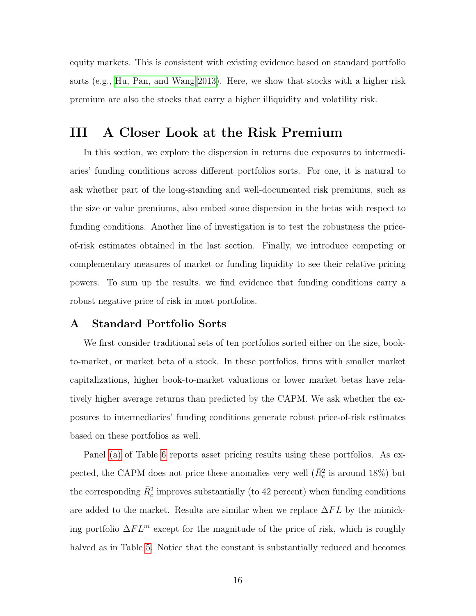equity markets. This is consistent with existing evidence based on standard portfolio sorts (e.g., [Hu, Pan, and Wang 2013\)](#page-25-5). Here, we show that stocks with a higher risk premium are also the stocks that carry a higher illiquidity and volatility risk.

### <span id="page-16-0"></span>III A Closer Look at the Risk Premium

In this section, we explore the dispersion in returns due exposures to intermediaries' funding conditions across different portfolios sorts. For one, it is natural to ask whether part of the long-standing and well-documented risk premiums, such as the size or value premiums, also embed some dispersion in the betas with respect to funding conditions. Another line of investigation is to test the robustness the priceof-risk estimates obtained in the last section. Finally, we introduce competing or complementary measures of market or funding liquidity to see their relative pricing powers. To sum up the results, we find evidence that funding conditions carry a robust negative price of risk in most portfolios.

### A Standard Portfolio Sorts

We first consider traditional sets of ten portfolios sorted either on the size, bookto-market, or market beta of a stock. In these portfolios, firms with smaller market capitalizations, higher book-to-market valuations or lower market betas have relatively higher average returns than predicted by the CAPM. We ask whether the exposures to intermediaries' funding conditions generate robust price-of-risk estimates based on these portfolios as well.

Panel [\(a\)](#page-34-0) of Table [6](#page-34-1) reports asset pricing results using these portfolios. As expected, the CAPM does not price these anomalies very well  $(\bar{R}_c^2$  is around 18%) but the corresponding  $\bar{R}_c^2$  improves substantially (to 42 percent) when funding conditions are added to the market. Results are similar when we replace  $\Delta FL$  by the mimicking portfolio  $\Delta FL^m$  except for the magnitude of the price of risk, which is roughly halved as in Table [5.](#page-33-0) Notice that the constant is substantially reduced and becomes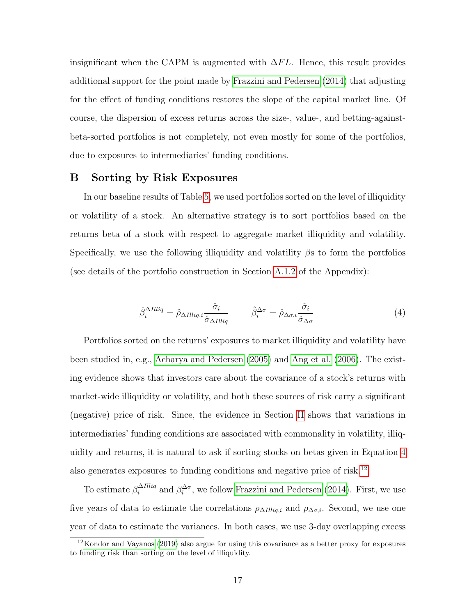insignificant when the CAPM is augmented with  $\Delta FL$ . Hence, this result provides additional support for the point made by [Frazzini and Pedersen](#page-24-3) [\(2014\)](#page-24-3) that adjusting for the effect of funding conditions restores the slope of the capital market line. Of course, the dispersion of excess returns across the size-, value-, and betting-againstbeta-sorted portfolios is not completely, not even mostly for some of the portfolios, due to exposures to intermediaries' funding conditions.

### B Sorting by Risk Exposures

In our baseline results of Table [5,](#page-33-0) we used portfolios sorted on the level of illiquidity or volatility of a stock. An alternative strategy is to sort portfolios based on the returns beta of a stock with respect to aggregate market illiquidity and volatility. Specifically, we use the following illiquidity and volatility  $\beta$ s to form the portfolios (see details of the portfolio construction in Section [A.1.2](#page-26-1) of the Appendix):

<span id="page-17-0"></span>
$$
\hat{\beta}_i^{\Delta Illiq} = \hat{\rho}_{\Delta Illiq,i} \frac{\hat{\sigma}_i}{\hat{\sigma}_{\Delta Illiq}} \qquad \hat{\beta}_i^{\Delta \sigma} = \hat{\rho}_{\Delta \sigma,i} \frac{\hat{\sigma}_i}{\hat{\sigma}_{\Delta \sigma}} \tag{4}
$$

Portfolios sorted on the returns' exposures to market illiquidity and volatility have been studied in, e.g., [Acharya and Pedersen](#page-23-2) [\(2005\)](#page-23-2) and [Ang et al.](#page-23-16) [\(2006\)](#page-23-16). The existing evidence shows that investors care about the covariance of a stock's returns with market-wide illiquidity or volatility, and both these sources of risk carry a significant (negative) price of risk. Since, the evidence in Section [II](#page-9-0) shows that variations in intermediaries' funding conditions are associated with commonality in volatility, illiquidity and returns, it is natural to ask if sorting stocks on betas given in Equation [4](#page-17-0) also generates exposures to funding conditions and negative price of risk.[12](#page-17-1)

To estimate  $\beta_i^{\Delta Illiq}$  $\beta_i^{\Delta tliq}$  and  $\beta_i^{\Delta \sigma}$ , we follow [Frazzini and Pedersen](#page-24-3) [\(2014\)](#page-24-3). First, we use five years of data to estimate the correlations  $\rho_{\Delta Illiq,i}$  and  $\rho_{\Delta \sigma,i}$ . Second, we use one year of data to estimate the variances. In both cases, we use 3-day overlapping excess

<span id="page-17-1"></span><sup>12</sup>[Kondor and Vayanos](#page-25-0) [\(2019\)](#page-25-0) also argue for using this covariance as a better proxy for exposures to funding risk than sorting on the level of illiquidity.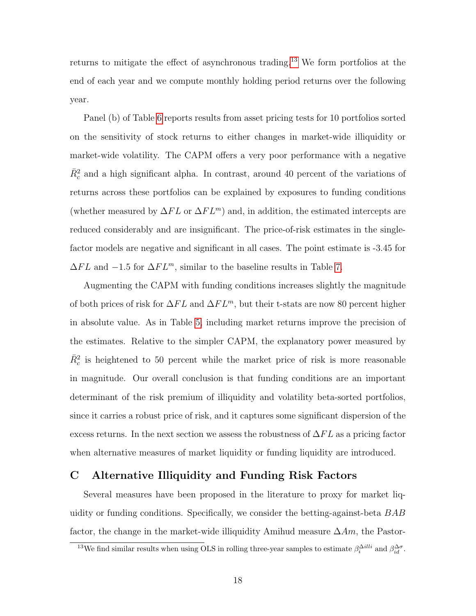returns to mitigate the effect of asynchronous trading.[13](#page-18-0) We form portfolios at the end of each year and we compute monthly holding period returns over the following year.

Panel (b) of Table [6](#page-34-1) reports results from asset pricing tests for 10 portfolios sorted on the sensitivity of stock returns to either changes in market-wide illiquidity or market-wide volatility. The CAPM offers a very poor performance with a negative  $\bar{R}_c^2$  and a high significant alpha. In contrast, around 40 percent of the variations of returns across these portfolios can be explained by exposures to funding conditions (whether measured by  $\Delta FL$  or  $\Delta FL<sup>m</sup>$ ) and, in addition, the estimated intercepts are reduced considerably and are insignificant. The price-of-risk estimates in the singlefactor models are negative and significant in all cases. The point estimate is -3.45 for  $\Delta FL$  and  $-1.5$  for  $\Delta FL^m$ , similar to the baseline results in Table [7.](#page-36-0)

Augmenting the CAPM with funding conditions increases slightly the magnitude of both prices of risk for  $\Delta FL$  and  $\Delta FL^m$ , but their t-stats are now 80 percent higher in absolute value. As in Table [5,](#page-33-0) including market returns improve the precision of the estimates. Relative to the simpler CAPM, the explanatory power measured by  $\bar{R}_c^2$  is heightened to 50 percent while the market price of risk is more reasonable in magnitude. Our overall conclusion is that funding conditions are an important determinant of the risk premium of illiquidity and volatility beta-sorted portfolios, since it carries a robust price of risk, and it captures some significant dispersion of the excess returns. In the next section we assess the robustness of  $\Delta FL$  as a pricing factor when alternative measures of market liquidity or funding liquidity are introduced.

### C Alternative Illiquidity and Funding Risk Factors

Several measures have been proposed in the literature to proxy for market liquidity or funding conditions. Specifically, we consider the betting-against-beta BAB factor, the change in the market-wide illiquidity Amihud measure  $\Delta Am$ , the Pastor-

<span id="page-18-0"></span><sup>&</sup>lt;sup>13</sup>We find similar results when using OLS in rolling three-year samples to estimate  $\beta_i^{\Delta illi}$  and  $\beta_{id}^{\Delta \sigma}$ .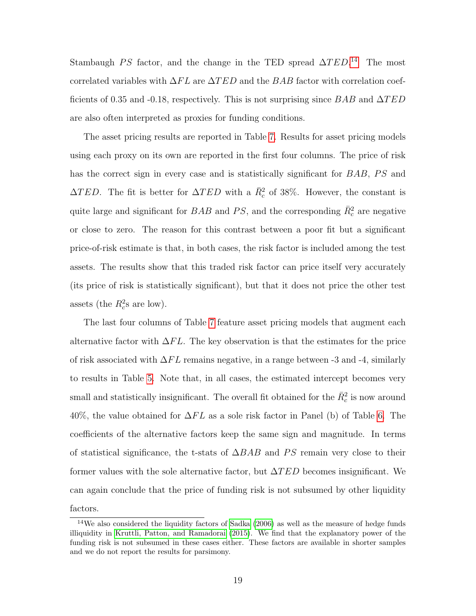Stambaugh PS factor, and the change in the TED spread  $\Delta TED$ <sup>[14](#page-19-0)</sup> The most correlated variables with  $\Delta FL$  are  $\Delta TED$  and the BAB factor with correlation coefficients of 0.35 and -0.18, respectively. This is not surprising since BAB and  $\Delta TED$ are also often interpreted as proxies for funding conditions.

The asset pricing results are reported in Table [7.](#page-36-0) Results for asset pricing models using each proxy on its own are reported in the first four columns. The price of risk has the correct sign in every case and is statistically significant for BAB, PS and  $\Delta TED$ . The fit is better for  $\Delta TED$  with a  $\bar{R}_c^2$  of 38%. However, the constant is quite large and significant for  $BAB$  and  $PS$ , and the corresponding  $\bar{R}_c^2$  are negative or close to zero. The reason for this contrast between a poor fit but a significant price-of-risk estimate is that, in both cases, the risk factor is included among the test assets. The results show that this traded risk factor can price itself very accurately (its price of risk is statistically significant), but that it does not price the other test assets (the  $R_c^2$ s are low).

The last four columns of Table [7](#page-36-0) feature asset pricing models that augment each alternative factor with  $\Delta FL$ . The key observation is that the estimates for the price of risk associated with  $\Delta FL$  remains negative, in a range between -3 and -4, similarly to results in Table [5.](#page-33-0) Note that, in all cases, the estimated intercept becomes very small and statistically insignificant. The overall fit obtained for the  $\bar{R}_c^2$  is now around 40%, the value obtained for  $\Delta FL$  as a sole risk factor in Panel (b) of Table [6.](#page-34-1) The coefficients of the alternative factors keep the same sign and magnitude. In terms of statistical significance, the t-stats of  $\triangle BAB$  and PS remain very close to their former values with the sole alternative factor, but  $\Delta TED$  becomes insignificant. We can again conclude that the price of funding risk is not subsumed by other liquidity factors.

<span id="page-19-0"></span><sup>&</sup>lt;sup>14</sup>We also considered the liquidity factors of [Sadka](#page-25-13) [\(2006\)](#page-25-13) as well as the measure of hedge funds illiquidity in [Kruttli, Patton, and Ramadorai](#page-25-14) [\(2015\)](#page-25-14). We find that the explanatory power of the funding risk is not subsumed in these cases either. These factors are available in shorter samples and we do not report the results for parsimony.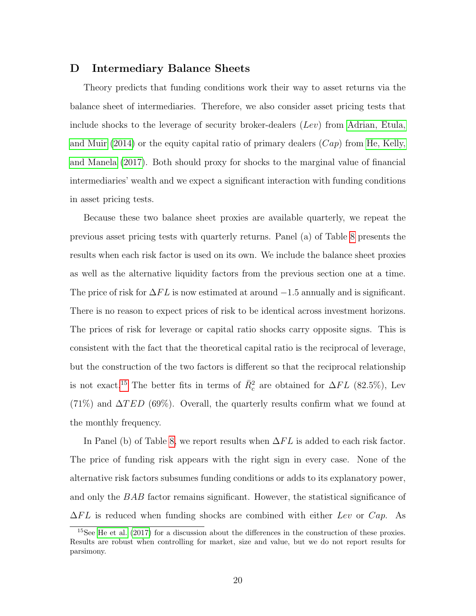### D Intermediary Balance Sheets

Theory predicts that funding conditions work their way to asset returns via the balance sheet of intermediaries. Therefore, we also consider asset pricing tests that include shocks to the leverage of security broker-dealers  $(Lev)$  from [Adrian, Etula,](#page-23-4) [and Muir](#page-23-4) [\(2014\)](#page-23-4) or the equity capital ratio of primary dealers  $(Cap)$  from [He, Kelly,](#page-24-4) [and Manela](#page-24-4) [\(2017\)](#page-24-4). Both should proxy for shocks to the marginal value of financial intermediaries' wealth and we expect a significant interaction with funding conditions in asset pricing tests.

Because these two balance sheet proxies are available quarterly, we repeat the previous asset pricing tests with quarterly returns. Panel (a) of Table [8](#page-37-0) presents the results when each risk factor is used on its own. We include the balance sheet proxies as well as the alternative liquidity factors from the previous section one at a time. The price of risk for  $\Delta FL$  is now estimated at around  $-1.5$  annually and is significant. There is no reason to expect prices of risk to be identical across investment horizons. The prices of risk for leverage or capital ratio shocks carry opposite signs. This is consistent with the fact that the theoretical capital ratio is the reciprocal of leverage, but the construction of the two factors is different so that the reciprocal relationship is not exact.<sup>[15](#page-20-0)</sup> The better fits in terms of  $\bar{R}_c^2$  are obtained for  $\Delta FL$  (82.5%), Lev  $(71\%)$  and  $\Delta TED$  (69%). Overall, the quarterly results confirm what we found at the monthly frequency.

In Panel (b) of Table [8,](#page-38-0) we report results when  $\Delta FL$  is added to each risk factor. The price of funding risk appears with the right sign in every case. None of the alternative risk factors subsumes funding conditions or adds to its explanatory power, and only the BAB factor remains significant. However, the statistical significance of  $\Delta FL$  is reduced when funding shocks are combined with either Lev or Cap. As

<span id="page-20-0"></span><sup>&</sup>lt;sup>15</sup>See [He et al.](#page-24-4) [\(2017\)](#page-24-4) for a discussion about the differences in the construction of these proxies. Results are robust when controlling for market, size and value, but we do not report results for parsimony.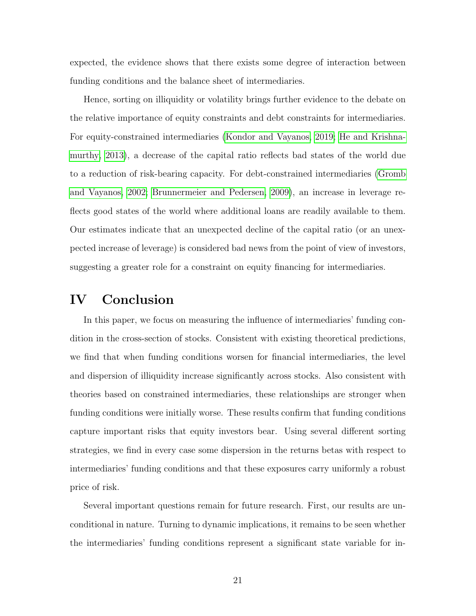expected, the evidence shows that there exists some degree of interaction between funding conditions and the balance sheet of intermediaries.

Hence, sorting on illiquidity or volatility brings further evidence to the debate on the relative importance of equity constraints and debt constraints for intermediaries. For equity-constrained intermediaries [\(Kondor and Vayanos, 2019;](#page-25-0) [He and Krishna](#page-24-1)[murthy, 2013\)](#page-24-1), a decrease of the capital ratio reflects bad states of the world due to a reduction of risk-bearing capacity. For debt-constrained intermediaries [\(Gromb](#page-24-0) [and Vayanos, 2002;](#page-24-0) [Brunnermeier and Pedersen, 2009\)](#page-23-0), an increase in leverage reflects good states of the world where additional loans are readily available to them. Our estimates indicate that an unexpected decline of the capital ratio (or an unexpected increase of leverage) is considered bad news from the point of view of investors, suggesting a greater role for a constraint on equity financing for intermediaries.

### IV Conclusion

In this paper, we focus on measuring the influence of intermediaries' funding condition in the cross-section of stocks. Consistent with existing theoretical predictions, we find that when funding conditions worsen for financial intermediaries, the level and dispersion of illiquidity increase significantly across stocks. Also consistent with theories based on constrained intermediaries, these relationships are stronger when funding conditions were initially worse. These results confirm that funding conditions capture important risks that equity investors bear. Using several different sorting strategies, we find in every case some dispersion in the returns betas with respect to intermediaries' funding conditions and that these exposures carry uniformly a robust price of risk.

Several important questions remain for future research. First, our results are unconditional in nature. Turning to dynamic implications, it remains to be seen whether the intermediaries' funding conditions represent a significant state variable for in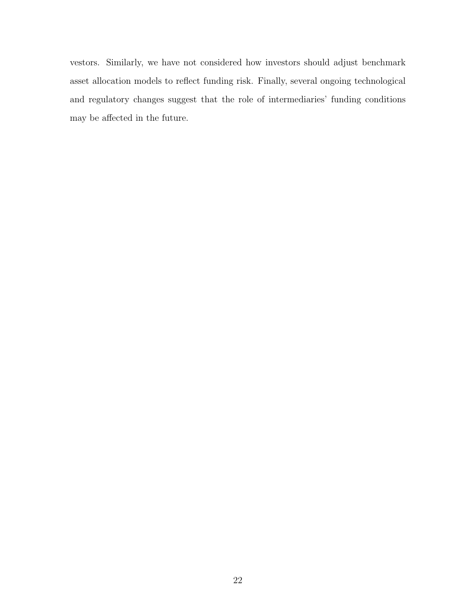vestors. Similarly, we have not considered how investors should adjust benchmark asset allocation models to reflect funding risk. Finally, several ongoing technological and regulatory changes suggest that the role of intermediaries' funding conditions may be affected in the future.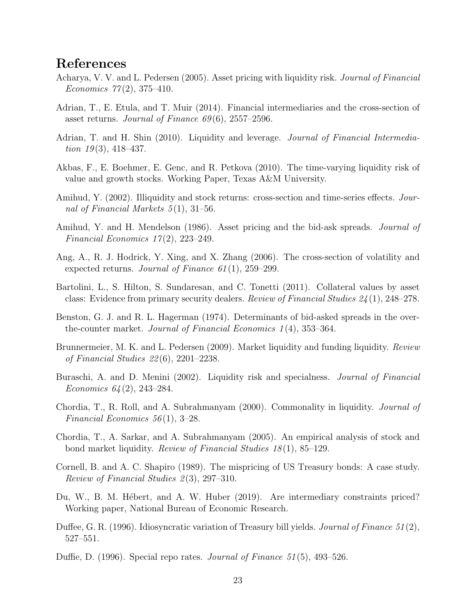### References

- <span id="page-23-2"></span>Acharya, V. V. and L. Pedersen (2005). Asset pricing with liquidity risk. Journal of Financial Economics  $77(2)$ , 375-410.
- <span id="page-23-4"></span>Adrian, T., E. Etula, and T. Muir (2014). Financial intermediaries and the cross-section of asset returns. Journal of Finance  $69(6)$ , 2557–2596.
- <span id="page-23-9"></span>Adrian, T. and H. Shin (2010). Liquidity and leverage. *Journal of Financial Intermedia*tion  $19(3)$ , 418–437.
- <span id="page-23-5"></span>Akbas, F., E. Boehmer, E. Genc, and R. Petkova (2010). The time-varying liquidity risk of value and growth stocks. Working Paper, Texas A&M University.
- <span id="page-23-3"></span>Amihud, Y. (2002). Illiquidity and stock returns: cross-section and time-series effects. Journal of Financial Markets  $5(1)$ , 31–56.
- <span id="page-23-8"></span>Amihud, Y. and H. Mendelson (1986). Asset pricing and the bid-ask spreads. Journal of Financial Economics  $17(2)$ , 223-249.
- <span id="page-23-16"></span>Ang, A., R. J. Hodrick, Y. Xing, and X. Zhang (2006). The cross-section of volatility and expected returns. Journal of Finance  $61(1)$ , 259–299.
- <span id="page-23-14"></span>Bartolini, L., S. Hilton, S. Sundaresan, and C. Tonetti (2011). Collateral values by asset class: Evidence from primary security dealers. Review of Financial Studies 24 (1), 248–278.
- <span id="page-23-7"></span>Benston, G. J. and R. L. Hagerman (1974). Determinants of bid-asked spreads in the overthe-counter market. Journal of Financial Economics 1 (4), 353–364.
- <span id="page-23-0"></span>Brunnermeier, M. K. and L. Pedersen (2009). Market liquidity and funding liquidity. Review of Financial Studies 22 (6), 2201–2238.
- <span id="page-23-13"></span>Buraschi, A. and D. Menini (2002). Liquidity risk and specialness. *Journal of Financial* Economics  $64(2)$ , 243-284.
- <span id="page-23-1"></span>Chordia, T., R. Roll, and A. Subrahmanyam (2000). Commonality in liquidity. Journal of Financial Economics  $56(1)$ , 3-28.
- <span id="page-23-6"></span>Chordia, T., A. Sarkar, and A. Subrahmanyam (2005). An empirical analysis of stock and bond market liquidity. *Review of Financial Studies 18*(1), 85–129.
- <span id="page-23-11"></span>Cornell, B. and A. C. Shapiro (1989). The mispricing of US Treasury bonds: A case study. Review of Financial Studies  $2(3)$ , 297–310.
- <span id="page-23-10"></span>Du, W., B. M. Hébert, and A. W. Huber (2019). Are intermediary constraints priced? Working paper, National Bureau of Economic Research.
- <span id="page-23-15"></span>Duffee, G. R. (1996). Idiosyncratic variation of Treasury bill yields. *Journal of Finance* 51(2), 527–551.
- <span id="page-23-12"></span>Duffie, D. (1996). Special repo rates. *Journal of Finance* 51(5), 493–526.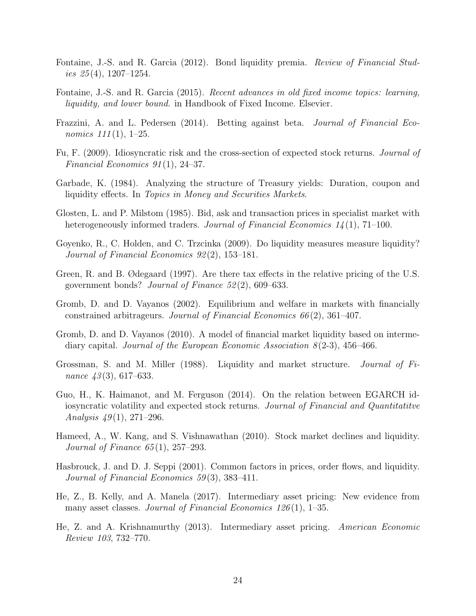- <span id="page-24-2"></span>Fontaine, J.-S. and R. Garcia (2012). Bond liquidity premia. *Review of Financial Stud*ies  $25(4)$ , 1207–1254.
- <span id="page-24-11"></span>Fontaine, J.-S. and R. Garcia (2015). Recent advances in old fixed income topics: learning, liquidity, and lower bound. in Handbook of Fixed Income. Elsevier.
- <span id="page-24-3"></span>Frazzini, A. and L. Pedersen (2014). Betting against beta. Journal of Financial Economics  $111(1)$ , 1–25.
- <span id="page-24-14"></span>Fu, F. (2009). Idiosyncratic risk and the cross-section of expected stock returns. Journal of Financial Economics 91 (1), 24–37.
- <span id="page-24-12"></span>Garbade, K. (1984). Analyzing the structure of Treasury yields: Duration, coupon and liquidity effects. In Topics in Money and Securities Markets.
- <span id="page-24-6"></span>Glosten, L. and P. Milstom (1985). Bid, ask and transaction prices in specialist market with heterogeneously informed traders. Journal of Financial Economics 14(1), 71–100.
- <span id="page-24-10"></span>Goyenko, R., C. Holden, and C. Trzcinka (2009). Do liquidity measures measure liquidity? Journal of Financial Economics 92 (2), 153–181.
- <span id="page-24-13"></span>Green, R. and B. Ødegaard (1997). Are there tax effects in the relative pricing of the U.S. government bonds? Journal of Finance 52 (2), 609–633.
- <span id="page-24-0"></span>Gromb, D. and D. Vayanos (2002). Equilibrium and welfare in markets with financially constrained arbitrageurs. Journal of Financial Economics  $66(2)$ , 361–407.
- <span id="page-24-9"></span>Gromb, D. and D. Vayanos (2010). A model of financial market liquidity based on intermediary capital. Journal of the European Economic Association  $8(2-3)$ , 456–466.
- <span id="page-24-7"></span>Grossman, S. and M. Miller (1988). Liquidity and market structure. Journal of Finance  $43(3)$ , 617–633.
- <span id="page-24-15"></span>Guo, H., K. Haimanot, and M. Ferguson (2014). On the relation between EGARCH idiosyncratic volatility and expected stock returns. Journal of Financial and Quantitative Analysis  $49(1)$ , 271–296.
- <span id="page-24-8"></span>Hameed, A., W. Kang, and S. Vishnawathan (2010). Stock market declines and liquidity. Journal of Finance  $65(1)$ , 257–293.
- <span id="page-24-5"></span>Hasbrouck, J. and D. J. Seppi (2001). Common factors in prices, order flows, and liquidity. Journal of Financial Economics 59 (3), 383–411.
- <span id="page-24-4"></span>He, Z., B. Kelly, and A. Manela (2017). Intermediary asset pricing: New evidence from many asset classes. Journal of Financial Economics  $126(1)$ , 1–35.
- <span id="page-24-1"></span>He, Z. and A. Krishnamurthy (2013). Intermediary asset pricing. American Economic Review 103, 732–770.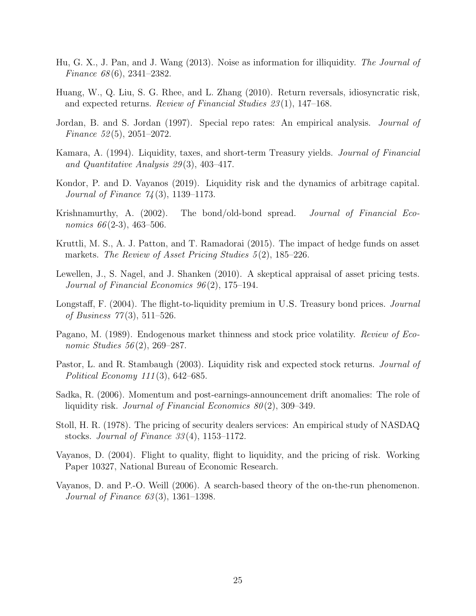- <span id="page-25-5"></span>Hu, G. X., J. Pan, and J. Wang (2013). Noise as information for illiquidity. The Journal of Finance 68 (6), 2341–2382.
- <span id="page-25-11"></span>Huang, W., Q. Liu, S. G. Rhee, and L. Zhang (2010). Return reversals, idiosyncratic risk, and expected returns. Review of Financial Studies 23 (1), 147–168.
- <span id="page-25-8"></span>Jordan, B. and S. Jordan (1997). Special repo rates: An empirical analysis. Journal of Finance  $52(5)$ ,  $2051-2072$ .
- <span id="page-25-10"></span>Kamara, A. (1994). Liquidity, taxes, and short-term Treasury yields. Journal of Financial and Quantitative Analysis 29 (3), 403–417.
- <span id="page-25-0"></span>Kondor, P. and D. Vayanos (2019). Liquidity risk and the dynamics of arbitrage capital. Journal of Finance 74 (3), 1139–1173.
- <span id="page-25-9"></span>Krishnamurthy, A. (2002). The bond/old-bond spread. Journal of Financial Economics  $66(2-3)$ , 463-506.
- <span id="page-25-14"></span>Kruttli, M. S., A. J. Patton, and T. Ramadorai (2015). The impact of hedge funds on asset markets. The Review of Asset Pricing Studies  $5(2)$ , 185–226.
- <span id="page-25-12"></span>Lewellen, J., S. Nagel, and J. Shanken (2010). A skeptical appraisal of asset pricing tests. Journal of Financial Economics 96 (2), 175–194.
- <span id="page-25-6"></span>Longstaff, F. (2004). The flight-to-liquidity premium in U.S. Treasury bond prices. *Journal* of Business  $77(3)$ , 511–526.
- <span id="page-25-3"></span>Pagano, M. (1989). Endogenous market thinness and stock price volatility. *Review of Eco*nomic Studies 56(2), 269–287.
- <span id="page-25-1"></span>Pastor, L. and R. Stambaugh (2003). Liquidity risk and expected stock returns. *Journal of* Political Economy 111 (3), 642–685.
- <span id="page-25-13"></span>Sadka, R. (2006). Momentum and post-earnings-announcement drift anomalies: The role of liquidity risk. Journal of Financial Economics  $80(2)$ , 309–349.
- <span id="page-25-2"></span>Stoll, H. R. (1978). The pricing of security dealers services: An empirical study of NASDAQ stocks. Journal of Finance  $33(4)$ , 1153–1172.
- <span id="page-25-4"></span>Vayanos, D. (2004). Flight to quality, flight to liquidity, and the pricing of risk. Working Paper 10327, National Bureau of Economic Research.
- <span id="page-25-7"></span>Vayanos, D. and P.-O. Weill (2006). A search-based theory of the on-the-run phenomenon. Journal of Finance 63 (3), 1361–1398.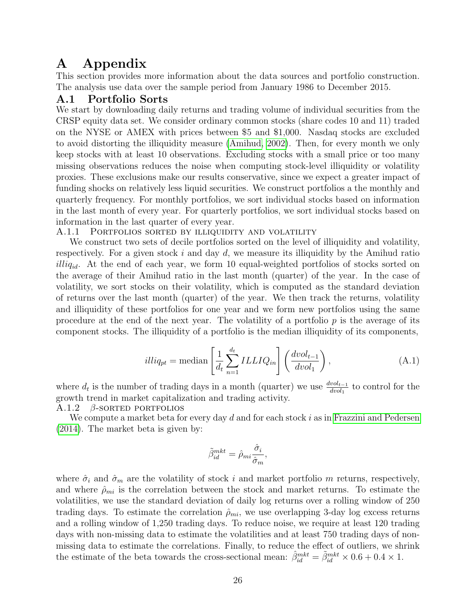### A Appendix

This section provides more information about the data sources and portfolio construction. The analysis use data over the sample period from January 1986 to December 2015.

### <span id="page-26-0"></span>A.1 Portfolio Sorts

We start by downloading daily returns and trading volume of individual securities from the CRSP equity data set. We consider ordinary common stocks (share codes 10 and 11) traded on the NYSE or AMEX with prices between \$5 and \$1,000. Nasdaq stocks are excluded to avoid distorting the illiquidity measure [\(Amihud, 2002\)](#page-23-3). Then, for every month we only keep stocks with at least 10 observations. Excluding stocks with a small price or too many missing observations reduces the noise when computing stock-level illiquidity or volatility proxies. These exclusions make our results conservative, since we expect a greater impact of funding shocks on relatively less liquid securities. We construct portfolios a the monthly and quarterly frequency. For monthly portfolios, we sort individual stocks based on information in the last month of every year. For quarterly portfolios, we sort individual stocks based on information in the last quarter of every year.

### A.1.1 PORTFOLIOS SORTED BY ILLIQUIDITY AND VOLATILITY

We construct two sets of decile portfolios sorted on the level of illiquidity and volatility, respectively. For a given stock  $i$  and day  $d$ , we measure its illiquidity by the Amihud ratio  $illiq_{id}$ . At the end of each year, we form 10 equal-weighted portfolios of stocks sorted on the average of their Amihud ratio in the last month (quarter) of the year. In the case of volatility, we sort stocks on their volatility, which is computed as the standard deviation of returns over the last month (quarter) of the year. We then track the returns, volatility and illiquidity of these portfolios for one year and we form new portfolios using the same procedure at the end of the next year. The volatility of a portfolio  $p$  is the average of its component stocks. The illiquidity of a portfolio is the median illiquidity of its components,

$$
illiq_{pt} = \text{median}\left[\frac{1}{d_t} \sum_{n=1}^{d_t} ILLIQ_{in}\right] \left(\frac{dvol_{t-1}}{dvol_1}\right),\tag{A.1}
$$

where  $d_t$  is the number of trading days in a month (quarter) we use  $\frac{dvol_{t-1}}{dvol_1}$  to control for the growth trend in market capitalization and trading activity.

<span id="page-26-1"></span>A.1.2  $\beta$ -SORTED PORTFOLIOS

We compute a market beta for every day  $d$  and for each stock  $i$  as in [Frazzini and Pedersen](#page-24-3) [\(2014\)](#page-24-3). The market beta is given by:

$$
\tilde{\beta}_{id}^{mkt} = \hat{\rho}_{mi} \frac{\hat{\sigma}_i}{\hat{\sigma}_m},
$$

where  $\hat{\sigma}_i$  and  $\hat{\sigma}_m$  are the volatility of stock i and market portfolio m returns, respectively, and where  $\hat{\rho}_{mi}$  is the correlation between the stock and market returns. To estimate the volatilities, we use the standard deviation of daily log returns over a rolling window of 250 trading days. To estimate the correlation  $\hat{\rho}_{mi}$ , we use overlapping 3-day log excess returns and a rolling window of 1,250 trading days. To reduce noise, we require at least 120 trading days with non-missing data to estimate the volatilities and at least 750 trading days of nonmissing data to estimate the correlations. Finally, to reduce the effect of outliers, we shrink the estimate of the beta towards the cross-sectional mean:  $\hat{\beta}_{id}^{mkt} = \tilde{\beta}_{id}^{mkt} \times 0.6 + 0.4 \times 1$ .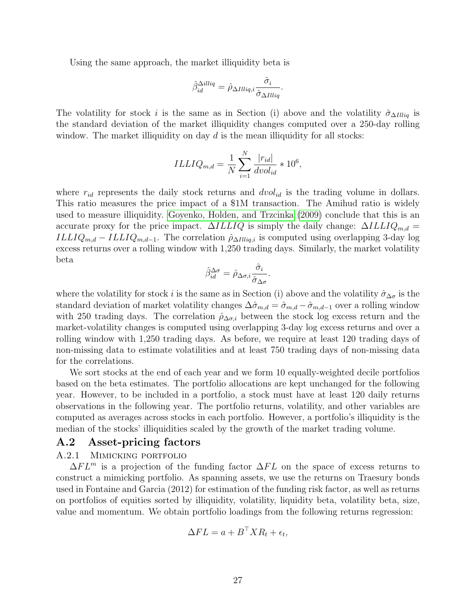Using the same approach, the market illiquidity beta is

$$
\hat{\beta}_{id}^{\Delta illiq} = \hat{\rho}_{\Delta Illiq,i} \frac{\hat{\sigma}_i}{\hat{\sigma}_{\Delta Illiq}}.
$$

The volatility for stock i is the same as in Section (i) above and the volatility  $\hat{\sigma}_{\Delta I lliq}$  is the standard deviation of the market illiquidity changes computed over a 250-day rolling window. The market illiquidity on day  $d$  is the mean illiquidity for all stocks:

$$
ILLIQ_{m,d} = \frac{1}{N} \sum_{i=1}^{N} \frac{|r_{id}|}{dvol_{id}} * 10^6,
$$

where  $r_{id}$  represents the daily stock returns and  $dvol_{id}$  is the trading volume in dollars. This ratio measures the price impact of a \$1M transaction. The Amihud ratio is widely used to measure illiquidity. [Goyenko, Holden, and Trzcinka](#page-24-10) [\(2009\)](#page-24-10) conclude that this is an accurate proxy for the price impact.  $\Delta ILLIQ$  is simply the daily change:  $\Delta ILLIQ_{m,d} =$ ILLIQ<sub>m,d</sub> – ILLIQ<sub>m,d-1</sub>. The correlation  $\hat{\rho}_{\Delta Illiq,i}$  is computed using overlapping 3-day log excess returns over a rolling window with 1,250 trading days. Similarly, the market volatility beta

$$
\hat{\beta}_{id}^{\Delta \sigma} = \hat{\rho}_{\Delta \sigma, i} \frac{\hat{\sigma}_i}{\hat{\sigma}_{\Delta \sigma}}.
$$

where the volatility for stock i is the same as in Section (i) above and the volatility  $\hat{\sigma}_{\Delta\sigma}$  is the standard deviation of market volatility changes  $\Delta\hat{\sigma}_{m,d} = \hat{\sigma}_{m,d} - \hat{\sigma}_{m,d-1}$  over a rolling window with 250 trading days. The correlation  $\hat{\rho}_{\Delta\sigma,i}$  between the stock log excess return and the market-volatility changes is computed using overlapping 3-day log excess returns and over a rolling window with 1,250 trading days. As before, we require at least 120 trading days of non-missing data to estimate volatilities and at least 750 trading days of non-missing data for the correlations.

We sort stocks at the end of each year and we form 10 equally-weighted decile portfolios based on the beta estimates. The portfolio allocations are kept unchanged for the following year. However, to be included in a portfolio, a stock must have at least 120 daily returns observations in the following year. The portfolio returns, volatility, and other variables are computed as averages across stocks in each portfolio. However, a portfolio's illiquidity is the median of the stocks' illiquidities scaled by the growth of the market trading volume.

### <span id="page-27-0"></span>A.2 Asset-pricing factors

### A.2.1 Mimicking portfolio

 $\Delta FL^{m}$  is a projection of the funding factor  $\Delta FL$  on the space of excess returns to construct a mimicking portfolio. As spanning assets, we use the returns on Traesury bonds used in Fontaine and Garcia (2012) for estimation of the funding risk factor, as well as returns on portfolios of equities sorted by illiquidity, volatility, liquidity beta, volatility beta, size, value and momentum. We obtain portfolio loadings from the following returns regression:

$$
\Delta FL = a + B^{\top}XR_t + \epsilon_t,
$$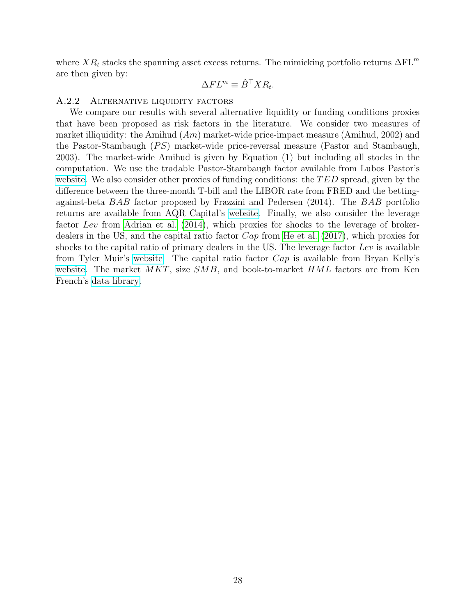where  $XR_t$  stacks the spanning asset excess returns. The mimicking portfolio returns  $\Delta FL^m$ are then given by:

$$
\Delta F L^m \equiv \hat{B}^\top X R_t.
$$

### A.2.2 ALTERNATIVE LIQUIDITY FACTORS

We compare our results with several alternative liquidity or funding conditions proxies that have been proposed as risk factors in the literature. We consider two measures of market illiquidity: the Amihud  $(Am)$  market-wide price-impact measure (Amihud, 2002) and the Pastor-Stambaugh  $(PS)$  market-wide price-reversal measure (Pastor and Stambaugh, 2003). The market-wide Amihud is given by Equation (1) but including all stocks in the computation. We use the tradable Pastor-Stambaugh factor available from Lubos Pastor's [website.](https://faculty.chicagobooth.edu/lubos-pastor/data) We also consider other proxies of funding conditions: the  $TED$  spread, given by the difference between the three-month T-bill and the LIBOR rate from FRED and the bettingagainst-beta BAB factor proposed by Frazzini and Pedersen (2014). The BAB portfolio returns are available from AQR Capital's [website.](https://www.aqr.com/Insights/Datasets/Betting-Against-Beta-Equity-Factors-Monthly) Finally, we also consider the leverage factor Lev from [Adrian et al.](#page-23-4) [\(2014\)](#page-23-4), which proxies for shocks to the leverage of brokerdealers in the US, and the capital ratio factor Cap from [He et al.](#page-24-4) [\(2017\)](#page-24-4), which proxies for shocks to the capital ratio of primary dealers in the US. The leverage factor Lev is available from Tyler Muir's [website.](https://sites.google.com/site/tylersmuir/home/data-and-code?authuser=0) The capital ratio factor  $Cap$  is available from Bryan Kelly's [website.](https://www.bryankellyacademic.org/) The market  $MKT$ , size  $SMB$ , and book-to-market  $HML$  factors are from Ken French's [data library.](https://mba.tuck.dartmouth.edu/pages/faculty/ken.french/data_library.html)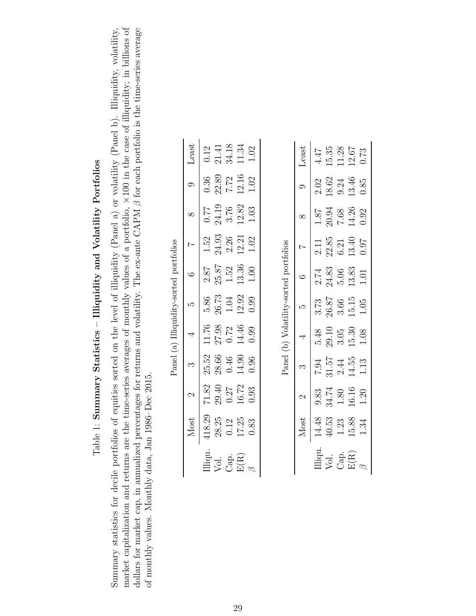## Table 1: Summary Statistics - Illiquidity and Volatility Portfolios  $\rm Table~1:~Summary~ Statistics-~IIIiquidity~ and~Volatility~ Portfolios$

<span id="page-29-2"></span><span id="page-29-1"></span><span id="page-29-0"></span>market capitalization and returns are the time-series averages of monthly values of a portfolio,  $\times 100$  in the case of illiquidity; in billions of dollars for market cap, in annualized percentages for returns and volatility. The ex-ante CAPM  $\beta$  for each portfolio is the time-series average Summary statistics for decile portfolios of equities sorted on the level of illiquidity (Panel a) or volatility (Panel b). Illiquidity, volatility, market capitalization and returns are the time-series averages of monthly values of a portfolio, ×100 in the case of illiquidity; in billions of dollars for market cap, in annualized percentages for returns and volatility. The ex-ante CAPM β for each portfolio is the time-series average of montine and the time-series average and the series average and the series a Summary statistics for decile portfolios of equities sorted on the level of illiquidity (Panel a) or volatility (Panel b). Illiquidity, volatility, of monthly values. Monthly data, Jan 1986–Dec 2015. of monthly values. Monthly data, Jan 1986–Dec 2015.

|                                         | Least       |                                                                                  | $\begin{array}{c} 0.12 \\ 21.41 \end{array}$ | 34.18                                                                                  | 11.34 | 1.02     |  |
|-----------------------------------------|-------------|----------------------------------------------------------------------------------|----------------------------------------------|----------------------------------------------------------------------------------------|-------|----------|--|
|                                         |             |                                                                                  | $\frac{0.36}{22.89}$                         | $7.72$<br>12.16<br>1.02                                                                |       |          |  |
|                                         | $\infty$    |                                                                                  |                                              | $\begin{array}{c} 0.77 \\ 24.19 \\ 3.76 \\ 12.82 \end{array}$                          |       | 1.03     |  |
|                                         |             |                                                                                  |                                              | $\begin{array}{c} 1.52 \\ 24.93 \\ 2.26 \\ 12.21 \end{array}$                          |       | $1.02\,$ |  |
|                                         | .<br>C      |                                                                                  |                                              | $2.87$<br>$25.87$<br>$1.52$<br>$13.36$                                                 |       | $1.00$   |  |
| Panel (a) Illiquidity-sorted portfolios |             |                                                                                  |                                              | $\frac{5.86}{26.73}$<br>1.04<br>12.92<br>12.99                                         |       |          |  |
|                                         | $\ddot{ }$  |                                                                                  |                                              | $\begin{array}{c} 11.76 \\ 27.98 \\ 0.72 \\ 14.46 \\ 0.99 \end{array}$                 |       |          |  |
|                                         | $\tilde{c}$ |                                                                                  |                                              | $\begin{array}{c} 25.52 \\ 28.66 \\ 0.46 \\ 14.90 \\ 0.96 \end{array}$                 |       |          |  |
|                                         | $\sim$      |                                                                                  |                                              | $71.82$<br>$29.40$<br>$0.27$<br>$16.72$<br>$0.93$                                      |       |          |  |
|                                         | Most        | $\begin{array}{r} \hline 418.29 \\ 28.25 \\ 0.12 \\ 17.25 \\ \hline \end{array}$ |                                              |                                                                                        |       |          |  |
|                                         |             |                                                                                  |                                              | $\begin{array}{l} \hbox{lliqu.}\\ \hbox{Vol.}\\ \hbox{Cap.}\\ \hbox{E(R)} \end{array}$ |       |          |  |

Panel (b) Volatility-sorted portfolios Panel (b) Volatility-sorted portfolios

|                                                                | Least          |  | $4.47$<br>15.35<br>11.28<br>12.67<br>12.67                                                                                    |  |
|----------------------------------------------------------------|----------------|--|-------------------------------------------------------------------------------------------------------------------------------|--|
|                                                                |                |  | $2.02$<br>$18.62$<br>$9.24$<br>$13.46$<br>$0.85$                                                                              |  |
|                                                                |                |  | $\frac{1.87}{7.68}$<br>20.94<br>7.68<br>14.26                                                                                 |  |
|                                                                | $\overline{1}$ |  | $\begin{array}{c} 2.11 \\ 22.85 \\ 6.21 \\ 13.40 \\ 0.97 \end{array}$                                                         |  |
| ׇ֧֧֦֧֦֧֦֧֦֧֦֧֦֧֦֧֦֧֦֧֦֧֦֧֦֧֦֧֦֧֦֧֦֧֦֧֡֕֓֕֓֕֓֕֓֕֓֝֬֓֝֬<br>֧ׅ֜֡֜ |                |  | $\frac{2.74}{24.83}$<br>$\frac{5.06}{13.83}$                                                                                  |  |
|                                                                |                |  | $\frac{3.73}{26.87}$<br>$\frac{26.87}{3.66}$<br>$\frac{15.15}{1.05}$                                                          |  |
| $\frac{1}{2}$                                                  | $\overline{a}$ |  | $\frac{5.48}{29.10}$<br>$\frac{3.05}{15.30}$<br>$1.08$                                                                        |  |
|                                                                |                |  | $7.94$<br>$31.57$<br>$2.44$<br>$14.55$<br>$11.13$                                                                             |  |
|                                                                | $\sim$         |  | $9.83$<br>34.74<br>1.80<br>1.91<br>1.20                                                                                       |  |
|                                                                | Most           |  | $14.48$<br>40.53<br>1.23<br>15.88<br>1.34                                                                                     |  |
|                                                                |                |  | $\begin{array}{l} \hbox{Liqu}\cr \hbox{Vol.}\\ \hbox{Coap.}\\ \hbox{E(R)}\\ \hbox{H(R)}\\ \hbox{H(R)}\\ \hbox{M} \end{array}$ |  |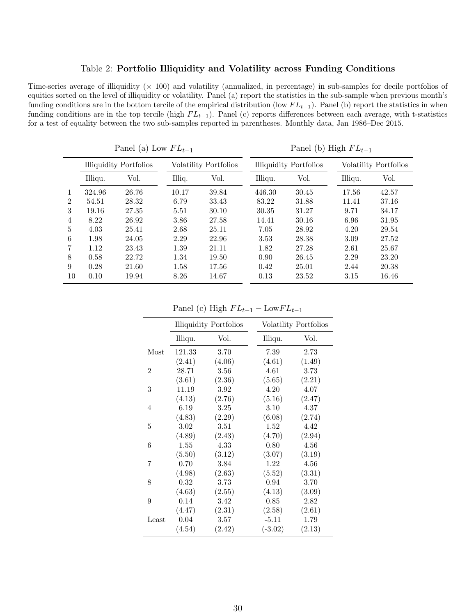### Table 2: Portfolio Illiquidity and Volatility across Funding Conditions

<span id="page-30-0"></span>Time-series average of illiquidity  $(x 100)$  and volatility (annualized, in percentage) in sub-samples for decile portfolios of equities sorted on the level of illiquidity or volatility. Panel (a) report the statistics in the sub-sample when previous month's funding conditions are in the bottom tercile of the empirical distribution (low  $FL_{t-1}$ ). Panel (b) report the statistics in when funding conditions are in the top tercile (high  $FL_{t-1}$ ). Panel (c) reports differences between each average, with t-statistics for a test of equality between the two sub-samples reported in parentheses. Monthly data, Jan 1986–Dec 2015.

<span id="page-30-1"></span>

|                |         | Panel (a) Low $FL_{t-1}$      |        |                       |         | Panel (b) High $FL_{t-1}$     |         |                       |
|----------------|---------|-------------------------------|--------|-----------------------|---------|-------------------------------|---------|-----------------------|
|                |         | <b>Illiquidity Portfolios</b> |        | Volatility Portfolios |         | <b>Illiquidity Portfolios</b> |         | Volatility Portfolios |
|                | Illiqu. | Vol.                          | Illiq. | Vol.                  | Illiqu. | Vol.                          | Illiqu. | Vol.                  |
|                | 324.96  | 26.76                         | 10.17  | 39.84                 | 446.30  | 30.45                         | 17.56   | 42.57                 |
| $\overline{2}$ | 54.51   | 28.32                         | 6.79   | 33.43                 | 83.22   | 31.88                         | 11.41   | 37.16                 |
| 3              | 19.16   | 27.35                         | 5.51   | 30.10                 | 30.35   | 31.27                         | 9.71    | 34.17                 |
| 4              | 8.22    | 26.92                         | 3.86   | 27.58                 | 14.41   | 30.16                         | 6.96    | 31.95                 |
| 5              | 4.03    | 25.41                         | 2.68   | 25.11                 | 7.05    | 28.92                         | 4.20    | 29.54                 |
| 6              | 1.98    | 24.05                         | 2.29   | 22.96                 | 3.53    | 28.38                         | 3.09    | 27.52                 |
| 7              | 1.12    | 23.43                         | 1.39   | 21.11                 | 1.82    | 27.28                         | 2.61    | 25.67                 |
| 8              | 0.58    | 22.72                         | 1.34   | 19.50                 | 0.90    | 26.45                         | 2.29    | 23.20                 |
| 9              | 0.28    | 21.60                         | 1.58   | 17.56                 | 0.42    | 25.01                         | 2.44    | 20.38                 |
| 10             | 0.10    | 19.94                         | 8.26   | 14.67                 | 0.13    | 23.52                         | 3.15    | 16.46                 |

<span id="page-30-2"></span>Panel (c) High  $FL_{t-1} - LowFL_{t-1}$ 

<span id="page-30-3"></span>

|       |          | <b>Illiquidity Portfolios</b> |           | Volatility Portfolios |
|-------|----------|-------------------------------|-----------|-----------------------|
|       | Illiqu.  | Vol.                          | Illiqu.   | Vol.                  |
| Most  | 121.33   | 3.70                          | 7.39      | 2.73                  |
|       | (2.41)   | (4.06)                        | (4.61)    | (1.49)                |
| 2     | 28.71    | 3.56                          | 4.61      | 3.73                  |
|       | (3.61)   | (2.36)                        | (5.65)    | (2.21)                |
| 3     | 11.19    | 3.92                          | 4.20      | 4.07                  |
|       | (4.13)   | (2.76)                        | (5.16)    | (2.47)                |
| 4     | 6.19     | 3.25                          | 3.10      | 4.37                  |
|       | (4.83)   | (2.29)                        | (6.08)    | (2.74)                |
| 5     | 3.02     | 3.51                          | 1.52      | 4.42                  |
|       | (4.89)   | (2.43)                        | (4.70)    | (2.94)                |
| 6     | 1.55     | 4.33                          | 0.80      | 4.56                  |
|       | (5.50)   | (3.12)                        | (3.07)    | (3.19)                |
| 7     | 0.70     | 3.84                          | 1.22      | 4.56                  |
|       | (4.98)   | (2.63)                        | (5.52)    | (3.31)                |
| 8     | 0.32     | 3.73                          | 0.94      | 3.70                  |
|       | (4.63)   | (2.55)                        | (4.13)    | (3.09)                |
| 9     | 0.14     | 3.42                          | 0.85      | 2.82                  |
|       | (4.47)   | (2.31)                        | (2.58)    | (2.61)                |
| Least | $0.04\,$ | $3.57\,$                      | $-5.11$   | 1.79                  |
|       | (4.54)   | (2.42)                        | $(-3.02)$ | (2.13)                |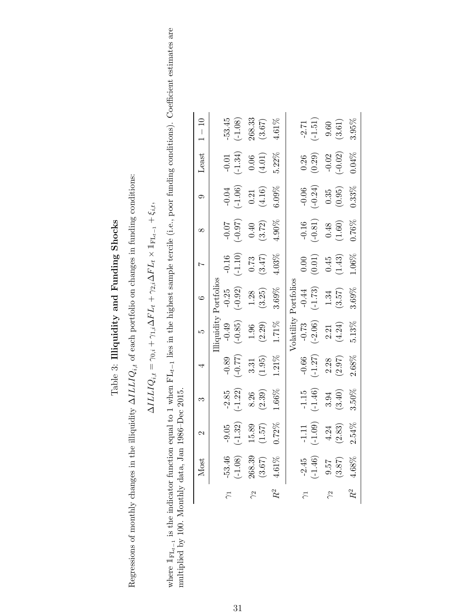### Table 3: Illiquidity and Funding Shocks Table 3: Illiquidity and Funding Shocks

Regressions of monthly changes in the illiquidity  $\Delta ILLIQ_{i,t}$  of each portfolio on changes in funding conditions: Regressions of monthly changes in the illiquidity  $\Delta ILLIQ_{i,t}$  of each portfolio on changes in funding conditions:

$$
\Delta ILLIC_{i,t} = \gamma_{0,i} + \gamma_{1,i}\Delta FL_t + \gamma_{2,i}\Delta FL_t \times \mathbb{I}_{\mathrm{FL}_{t-1}} + \xi_{i,t},
$$

<span id="page-31-0"></span>where  $\mathbb{I}_{\text{FL}_{t-1}}$  is the indicator function equal to 1 when  $\text{FL}_{t-1}$  lies in the highest sample tercile (i.e., poor funding conditions). Coefficient estimates are multiplied by 100. Monthly data, Jan 1986–Dec 201 where  $\mathbb{I}_{\text{FL}_{t-1}}$  is the indicator function equal to 1 when FLt<sub>t−1</sub> lies in the highest sample tercile (i.e., poor funding conditions). Coefficient estimates are multiplied by 100. Monthly data, Jan 1986–Dec 2015.

|           | Most                                                      | $\mathcal{C}$                              | 9                                        | 4                                                   | ເລ                                                                                      | $\ddot{\circ}$                                                              | $\overline{a}$                                                              | $\infty$                                                                    | $\circ$                                                                     | Least                                                                       | $1 - 10$                                                  |
|-----------|-----------------------------------------------------------|--------------------------------------------|------------------------------------------|-----------------------------------------------------|-----------------------------------------------------------------------------------------|-----------------------------------------------------------------------------|-----------------------------------------------------------------------------|-----------------------------------------------------------------------------|-----------------------------------------------------------------------------|-----------------------------------------------------------------------------|-----------------------------------------------------------|
|           |                                                           |                                            |                                          |                                                     |                                                                                         | $\sim$ ortfoli $\prime$                                                     |                                                                             |                                                                             |                                                                             |                                                                             |                                                           |
|           |                                                           |                                            |                                          |                                                     | iquidity<br>$\begin{array}{c} -0.49 \\ (-0.85) \\ 1.96 \\ (2.29) \\ 1.71\% \end{array}$ |                                                                             |                                                                             |                                                                             |                                                                             |                                                                             |                                                           |
|           |                                                           |                                            |                                          |                                                     |                                                                                         |                                                                             |                                                                             |                                                                             |                                                                             |                                                                             |                                                           |
| $\approx$ |                                                           |                                            |                                          |                                                     |                                                                                         |                                                                             |                                                                             |                                                                             |                                                                             |                                                                             |                                                           |
|           | $-53.46$<br>$(-1.08)$<br>$268.39$<br>$(3.67)$<br>$4.61\%$ | $\frac{-9.05}{(-1.32)}$<br>15.89<br>(1.57) | $\frac{-2.85}{(-1.22)}$<br>8.26<br>8.39) | $\frac{-0.89}{(-0.77)}$<br>3.31<br>(1.95)<br>(1.95) |                                                                                         | $\begin{array}{c} -0.25 \\ (-0.92) \\ 1.28 \\ (3.25) \\ 3.69\% \end{array}$ | $\begin{array}{c} -0.16 \\ (-1.10) \\ 0.73 \\ (3.47) \\ 4.03\% \end{array}$ | $\begin{array}{c} -0.07 \\ (-0.97) \\ 0.40 \\ (3.72) \\ 4.90\% \end{array}$ | $\begin{array}{c} -0.04 \\ (-1.06) \\ 0.21 \\ (4.16) \\ 6.09\% \end{array}$ |                                                                             | $-53.45$<br>$(-1.08)$<br>$268.33$<br>$(3.67)$<br>$4.61\%$ |
|           |                                                           | 0.72%                                      | $1.66\%$                                 |                                                     |                                                                                         |                                                                             |                                                                             |                                                                             |                                                                             | $\begin{array}{c} -0.01 \\ (-1.34) \\ 0.06 \\ (4.01) \\ 5.22\% \end{array}$ |                                                           |
|           |                                                           |                                            |                                          |                                                     | <b>olatility</b>                                                                        | ${\tt rortfolios}$                                                          |                                                                             |                                                                             |                                                                             |                                                                             |                                                           |
|           |                                                           |                                            |                                          |                                                     |                                                                                         |                                                                             |                                                                             |                                                                             |                                                                             |                                                                             |                                                           |
|           | $-2.45$<br>$(-1.46)$                                      | $-1.11$<br>$(-1.09)$                       | $\frac{-1.15}{(-1.46)}$<br>3.94<br>3.50% | $\frac{-0.66}{(-1.27)}$<br>2.28<br>2.68%            | $-0.73$<br>$(-2.06)$                                                                    | $-0.44$<br>$(-1.73)$                                                        | $\begin{array}{c} 0.00 \\ (0.01) \\ 0.45 \\ (1.43) \end{array}$             | $\begin{array}{c} -0.16 \\ (-0.81) \\ 0.48 \\ (1.60) \\ 0.76\% \end{array}$ | $\begin{array}{c} -0.06 \\ (-0.24) \\ 0.35 \\ (0.95) \\ 0.33\% \end{array}$ | $(0.26)$<br>$(0.29)$<br>$-0.02$<br>$(-0.02)$<br>$(0.4\%$                    | $\frac{-2.71}{(-1.51)}$<br>9.60<br>(3.61)<br>3.95%        |
|           |                                                           |                                            |                                          |                                                     |                                                                                         |                                                                             |                                                                             |                                                                             |                                                                             |                                                                             |                                                           |
|           | $\begin{array}{c} 9.57 \\ 3.87 \end{array}$               | $4.24$<br>(2.83)                           |                                          |                                                     | $\frac{2.21}{(4.24)}$<br>5.13%                                                          | $1.34$<br>(3.57)                                                            |                                                                             |                                                                             |                                                                             |                                                                             |                                                           |
|           | 0.68%                                                     | 2.54%                                      |                                          |                                                     |                                                                                         | 3.69%                                                                       | $1.06\%$                                                                    |                                                                             |                                                                             |                                                                             |                                                           |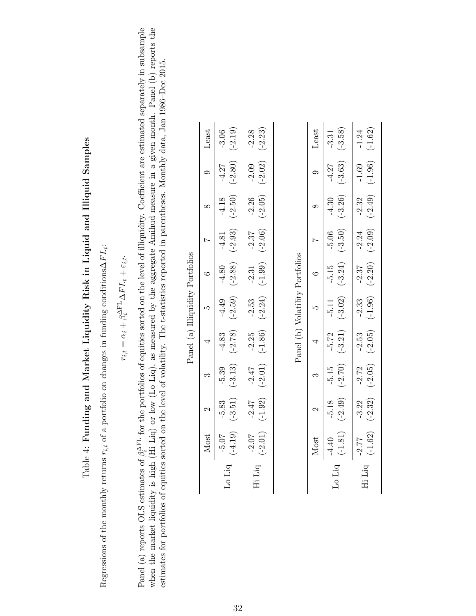# Table 4: Funding and Market Liquidity Risk in Liquid and Illiquid Samples  $Table 4:$  Funding and Market Liquidity Risk in Liquid and Illiquid Samples

Regressions of the monthly returns  $r_{i,t}$  of a portfolio on changes in funding conditions $\Delta F L_t$ : Regressions of the monthly returns  $r_{i,t}$  of a portfolio on changes in funding conditions∆FL<sub>t</sub>:

$$
r_{i,t} = \alpha_i + \beta_i^{\Delta \mathrm{FL}} \Delta FL_t + \varepsilon_{i,t}.
$$

<span id="page-32-2"></span><span id="page-32-1"></span><span id="page-32-0"></span>when the market liquidity is high ( $\overline{H}$ i Liq) or low (Lo Liq), as measured by the aggregate Amihud measure in a given month. Panel (b) reports the Panel (a) reports OLS estimates of  $\beta_i^{\text{AFL}}$  for the portfolios of equities sorted on the level of illiquidity. Coefficient are estimated separately in subsample Panel (a) reports OLS estimates of  $\beta_i^{\Delta F}$  for the portfolios of equities sorted on the level of illiquidity. Coefficient are estimated separately in subsample when the market liquidity is high (Hi Liq) or low (Lo Liq), as measured by the aggregate Amihud measure in a given month. Panel (b) reports the estimates for portfolios of equities sorted on the level of volatility. The t-statistics reported in parentheses. Monthly data, Jan 1986–Dec 2015. estimates for portfolios of equities sorted on the level of volatility. The t-statistics reported in parentheses. Monthly data, Jan 1986–Dec 2015.

| Panel (a) Illiquidity Portfolios | Least<br>$\ddot{\circ}$<br>x<br>¢<br>4<br>$\sim$ | $-3.06$<br>$(-2.19)$<br>$-4.27$<br>$(-2.80)$<br>$-4.18$<br>$(-2.50)$<br>$-4.81$<br>$(-2.93)$<br>$-4.80$<br>$(-2.88)$<br>$-4.49$<br>$(-2.59)$<br>$-4.83$<br>$(-2.78)$<br>$-5.39$<br>$(-3.13)$ | $(-2.23)$<br>$-2.28$<br>$-2.09$<br>$(-2.02)$<br>$-2.26$<br>$(-2.05)$<br>$-2.37$<br>$(-2.06)$<br>$(-1.99)$<br>$-2.31$<br>$-2.53$<br>$(-2.24)$<br>$-2.25$<br>$(-1.86)$<br>$-2.47$<br>$(-2.01)$ |  |
|----------------------------------|--------------------------------------------------|----------------------------------------------------------------------------------------------------------------------------------------------------------------------------------------------|----------------------------------------------------------------------------------------------------------------------------------------------------------------------------------------------|--|
|                                  |                                                  | $-5.83$<br>$(-3.51)$                                                                                                                                                                         | $-2.47$<br>$(-1.92)$                                                                                                                                                                         |  |
|                                  | Most                                             | $(61.5 - (7)$<br>$\rm Lo$ $\rm Liq$                                                                                                                                                          | $-2.07$<br>$(-2.01)$<br>Hi Liq                                                                                                                                                               |  |

 $\ddot{ }$  $\dot{\mathsf{c}}$  $A \left( \frac{1}{2} \right)$  the mass  $A$  is  $\frac{1}{2}$ 

Panel (b) Volatility Portfolios Panel (b) Volatility Portfolios

|        | Vlost                | $\mathcal{C}$        | $\infty$             | 4                    | rJ                   | $\circ$              | $\overline{a}$       | $\infty$             | $\circ$              | Least                   |
|--------|----------------------|----------------------|----------------------|----------------------|----------------------|----------------------|----------------------|----------------------|----------------------|-------------------------|
| Lo Liq | $-4.40$<br>$(-1.81)$ | $-5.18$<br>$(-2.49)$ | $-5.15$<br>$(-2.70)$ | $-5.72$<br>$(-3.21)$ | $-5.11$<br>$(-3.02)$ | $-5.15$<br>$(-3.24)$ | $-5.06$<br>$(-3.50)$ | $-4.30$<br>$(-3.26)$ | $-4.27$<br>$(-3.63)$ | $\frac{-3.31}{(-3.58)}$ |
|        |                      |                      |                      |                      |                      |                      |                      |                      |                      |                         |
|        |                      |                      |                      |                      |                      |                      |                      |                      |                      |                         |
| Hi Liq | $-2.77$<br>$(-1.62)$ | $-3.22$<br>$(-2.32)$ | $-2.72$<br>$(-2.05)$ | $-2.53$<br>$(-2.05)$ | $-2.33$<br>$(-1.96)$ | $-2.37$<br>$(-2.20)$ | $-2.24$<br>$(-2.09)$ | $-2.32$<br>$(-2.49)$ | $-1.69$<br>$(-1.96)$ | $-1.24$<br>$(-1.62)$    |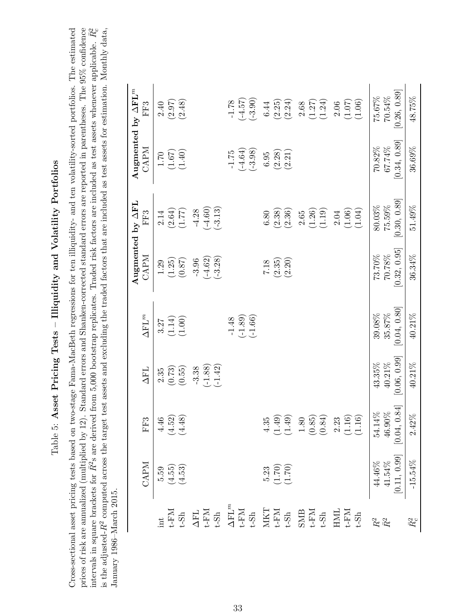## Table 5: Asset Pricing Tests - Illiquidity and Volatility Portfolios Table 5: Asset Pricing Tests – Illiquidity and Volatility Portfolios

<span id="page-33-0"></span>intervals in square brackets for  $\bar{R}^2$ s are derived from 5,000 bootstrap replicates. Traded risk factors are included as test assets whenever applicable.  $\bar{R}_c^2$ Cross-sectional asset pricing tests based on two-stage Fama-MacBeth regressions for ten illiquidity- and ten volatility-sorted portfolios. The estimated prices of risk are annualized (multiplied by 12). Standard errors and Shanken-corrected standard errors are reported in parentheses. The 95% confidence is the adjusted- $R^2$  computed across the target test assets and excluding the traded factors that are included as test assets for estimation. Monthly data, Cross-sectional asset pricing tests based on two-stage Fama-MacBeth regressions for ten illiquidity- and ten volatility-sorted portfolios. The estimated prices of risk are annualized (multiplied by 12). Standard errors and Shanken-corrected standard errors are reported in parentheses. The 95% confidence intervals in square brackets for  $\bar{R}^2$ s are derived from 5,000 bootstrap replicates. Traded risk factors are included as test assets whenever applicable.  $\bar{R}_c^2$ is the adjusted- $R^2$  computed across the target test assets and excluding the traded factors that are included as test assets for estimation. Monthly data, January 1986–March 2015. January 1986–March 2015.

|                                                                                                                                                                                                                                                                                                                                                                                                                                                                                                    | CAPM                                                                 | FF3                                            | <b>AFL</b>                          | $\Delta{\rm FL}^m$                | CAPM                                | Augmented by AFL<br>FF3           | <b>CAPM</b>                       | Augmented by $\Delta F L^m$<br>FF3    |
|----------------------------------------------------------------------------------------------------------------------------------------------------------------------------------------------------------------------------------------------------------------------------------------------------------------------------------------------------------------------------------------------------------------------------------------------------------------------------------------------------|----------------------------------------------------------------------|------------------------------------------------|-------------------------------------|-----------------------------------|-------------------------------------|-----------------------------------|-----------------------------------|---------------------------------------|
|                                                                                                                                                                                                                                                                                                                                                                                                                                                                                                    | $5.59$<br>$(4.55)$<br>$(4.53)$                                       | $4.52$<br>$(4.52)$<br>$(4.48)$                 | (0.73)<br>(0.55)<br>2.35            | $(1.14)$<br>$(1.00)$<br>3.27      | (1.25)<br>(0.87)<br>$1.29\,$        | $(2.64)$ $(1.77)$<br>2.14         | $(1.67)$<br>(1.40)<br>$1.70\,$    | $(2.97)$<br>$(2.48)$<br>2.40          |
| $\begin{array}{l} \begin{array}{l} \text{if } \mathbb{R} \\ \text{if } \mathbb{R} \\ \text{if } \mathbb{R} \end{array} \\ \begin{array}{l} \text{if } \mathbb{R} \\ \text{if } \mathbb{R} \\ \text{if } \mathbb{R} \end{array} \\ \begin{array}{l} \text{if } \mathbb{R} \\ \text{if } \mathbb{R} \\ \text{if } \mathbb{R} \end{array} \\ \begin{array}{l} \text{if } \mathbb{R} \\ \text{if } \mathbb{R} \\ \text{if } \mathbb{R} \end{array} \\ \begin{array}{l} \text{if } \mathbb{R} \\ \text$ |                                                                      |                                                | $(-1.88)$<br>$(-1.42)$<br>$-3.38$   |                                   | $(-4.62)$<br>$(-3.28)$<br>$-3.96$   | $(-4.60)$<br>$(-3.13)$<br>$-4.28$ |                                   |                                       |
|                                                                                                                                                                                                                                                                                                                                                                                                                                                                                                    |                                                                      |                                                |                                     | $(-1.89)$<br>$(-1.66)$<br>$-1.48$ |                                     |                                   | $(-4.64)$<br>$(-3.98)$<br>$-1.75$ | $(73.4 - 57)$<br>$(-3.90)$<br>$-1.78$ |
|                                                                                                                                                                                                                                                                                                                                                                                                                                                                                                    | $\begin{array}{c} 5.23 \\ (1.70) \\ (1.70) \end{array}$              | $4.35$<br>$1.49$<br>$1.49$                     |                                     |                                   | (2.20)<br>(2.35)<br>7.18            | (2.38)<br>(2.36)<br>0.80          | (2.28)<br>(2.21)<br>6.95          | (2.25)<br>(2.24)<br>6.44              |
|                                                                                                                                                                                                                                                                                                                                                                                                                                                                                                    |                                                                      | $1.80$<br>$(0.85$<br>$(0.84$                   |                                     |                                   |                                     | (1.26)<br>(1.19)<br>$2.65\,$      |                                   | $(1.27)$<br>$(1.24)$<br>2.68          |
|                                                                                                                                                                                                                                                                                                                                                                                                                                                                                                    |                                                                      | $2.23$<br>(1.16)<br>(1.16)                     |                                     |                                   |                                     | (1.06)<br>(1.04)<br>$2.04\,$      |                                   | (1.06)<br>(1.07)<br>2.06              |
| $\ensuremath{R^2}$<br>$\bar{R}^2$                                                                                                                                                                                                                                                                                                                                                                                                                                                                  | $\begin{array}{c} 44.46\% \\ 41.54\% \\ [0.11, \, 0.99] \end{array}$ | .84<br>$54.14\%$<br>$46.90\%$<br>$[0.04, 0.84$ | [0.06, 0.99]<br>$40.21\%$<br>43.35% | [0.04, 0.80]<br>35.87%<br>39.08%  | [0.32, 0.95]<br>$70.78\%$<br>73.70% | [0.30, 0.89]<br>75.59%<br>80.03%  | [0.34, 0.89]<br>67.74%<br>70.82%  | [0.26, 0.89]<br>70.54%<br>75.67%      |
| $\bar{R}_c^2$                                                                                                                                                                                                                                                                                                                                                                                                                                                                                      | $-15.54\%$                                                           | $2.42\%$                                       | 40.21%                              | 40.21%                            | 36.34%                              | 51.49%                            | 36.69%                            | 48.75%                                |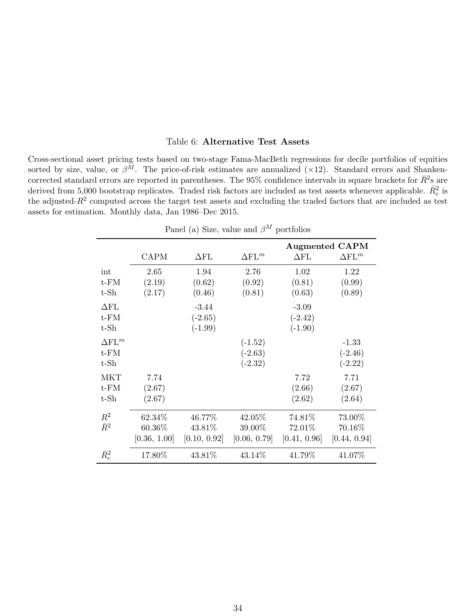### Table 6: Alternative Test Assets

<span id="page-34-1"></span>Cross-sectional asset pricing tests based on two-stage Fama-MacBeth regressions for decile portfolios of equities sorted by size, value, or  $\beta^{\tilde{M}}$ . The price-of-risk estimates are annualized (×12). Standard errors and Shankencorrected standard errors are reported in parentheses. The 95% confidence intervals in square brackets for  $\bar{R}^2$ s are derived from 5,000 bootstrap replicates. Traded risk factors are included as test assets whenever applicable.  $\bar{R}_c^2$  is the adjusted- $R^2$  computed across the target test assets and excluding the traded factors that are included as test assets for estimation. Monthly data, Jan 1986–Dec 2015.

<span id="page-34-0"></span>

|                    |              |                      |                      |                    | <b>Augmented CAPM</b> |
|--------------------|--------------|----------------------|----------------------|--------------------|-----------------------|
|                    | <b>CAPM</b>  | $\Delta \text{FL}{}$ | $\Delta \text{FL}^m$ | $\Delta \text{FL}$ | $\Delta \text{FL}^m$  |
| int                | 2.65         | 1.94                 | 2.76                 | 1.02               | 1.22                  |
| $t$ - $FM$         | (2.19)       | (0.62)               | (0.92)               | (0.81)             | (0.99)                |
| $t$ - $Sh$         | (2.17)       | (0.46)               | (0.81)               | (0.63)             | (0.89)                |
| $\Delta \text{FL}$ |              | $-3.44$              |                      | $-3.09$            |                       |
| $t$ - $FM$         |              | $(-2.65)$            |                      | $(-2.42)$          |                       |
| $t$ - $Sh$         |              | $(-1.99)$            |                      | $(-1.90)$          |                       |
| $\Delta$ FL $^m$   |              |                      | $(-1.52)$            |                    | $-1.33$               |
| $t$ - $FM$         |              |                      | $(-2.63)$            |                    | $(-2.46)$             |
| $t$ - $Sh$         |              |                      | $(-2.32)$            |                    | $(-2.22)$             |
| <b>MKT</b>         | 7.74         |                      |                      | 7.72               | 7.71                  |
| $t$ - $FM$         | (2.67)       |                      |                      | (2.66)             | (2.67)                |
| $t$ -Sh            | (2.67)       |                      |                      | (2.62)             | (2.64)                |
| $R^2$              | 62.34%       | 46.77%               | 42.05%               | 74.81%             | 73.00%                |
| $\bar{R}^2$        | 60.36%       | 43.81%               | 39.00%               | 72.01%             | 70.16%                |
|                    | [0.36, 1.00] | [0.10, 0.92]         | [0.06, 0.79]         | [0.41, 0.96]       | [0.44, 0.94]          |
| $\bar{R}_c^2$      | 17.80%       | 43.81%               | 43.14%               | 41.79%             | 41.07%                |

Panel (a) Size, value and  $\beta^M$  portfolios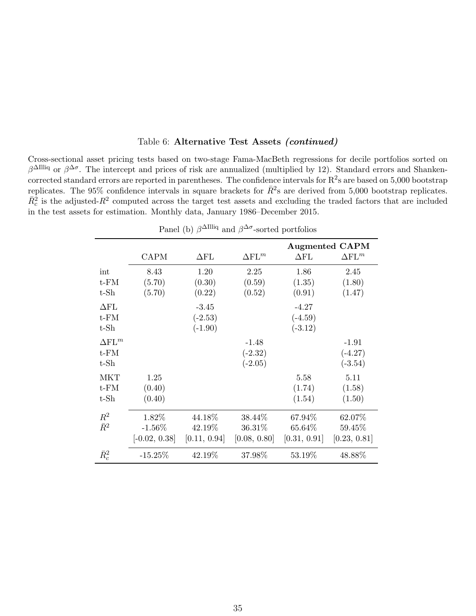|                                                  |                                       | Panel (b) $\beta^{\Delta I llliq}$ and $\beta^{\Delta \sigma}$ -sorted portfolios |                                   |                                   |                                           |
|--------------------------------------------------|---------------------------------------|-----------------------------------------------------------------------------------|-----------------------------------|-----------------------------------|-------------------------------------------|
|                                                  | <b>CAPM</b>                           | $\Delta \text{FL}$                                                                | $\Delta$ FL $^m$                  | $\Delta \text{FL}$                | <b>Augmented CAPM</b><br>$\Delta$ FL $^m$ |
| $\operatorname{int}$<br>$t$ - $FM$<br>$t$ - $Sh$ | 8.43<br>(5.70)<br>(5.70)              | 1.20<br>(0.30)<br>(0.22)                                                          | 2.25<br>(0.59)<br>(0.52)          | 1.86<br>(1.35)<br>(0.91)          | 2.45<br>(1.80)<br>(1.47)                  |
| $\Delta \text{FL}$<br>$t$ - $FM$<br>$t$ - $Sh$   |                                       | $-3.45$<br>$(-2.53)$<br>$(-1.90)$                                                 |                                   | $-4.27$<br>$(-4.59)$<br>$(-3.12)$ |                                           |
| $\Delta$ FL $^m$<br>$t$ - $FM$<br>$t$ - $Sh$     |                                       |                                                                                   | $-1.48$<br>$(-2.32)$<br>$(-2.05)$ |                                   | $-1.91$<br>$(-4.27)$<br>$(-3.54)$         |
| <b>MKT</b><br>$t$ - $FM$<br>$t$ - $Sh$           | 1.25<br>(0.40)<br>(0.40)              |                                                                                   |                                   | 5.58<br>(1.74)<br>(1.54)          | 5.11<br>(1.58)<br>(1.50)                  |
| $R^2$<br>$\bar{R}^2$                             | 1.82%<br>$-1.56\%$<br>$[-0.02, 0.38]$ | 44.18%<br>42.19%<br>[0.11, 0.94]                                                  | 38.44\%<br>36.31%<br>[0.08, 0.80] | 67.94%<br>65.64%<br>[0.31, 0.91]  | 62.07%<br>59.45%<br>[0.23, 0.81]          |
| $\bar{R}_c^2$                                    | $-15.25%$                             | 42.19%                                                                            | 37.98%                            | 53.19%                            | 48.88%                                    |

Table 6: Alternative Test Assets (continued)

Cross-sectional asset pricing tests based on two-stage Fama-MacBeth regressions for decile portfolios sorted on β<sup>ΔIlliq</sup> or β<sup>Δσ</sup>. The intercept and prices of risk are annualized (multiplied by 12). Standard errors and Shankencorrected standard errors are reported in parentheses. The confidence intervals for  $R^2$ s are based on 5,000 bootstrap replicates. The 95% confidence intervals in square brackets for  $\bar{R}^2$ s are derived from 5,000 bootstrap replicates.  $\bar{R}_c^2$  is the adjusted- $R^2$  computed across the target test assets and excluding the traded factors that are included in the test assets for estimation. Monthly data, January 1986–December 2015.

35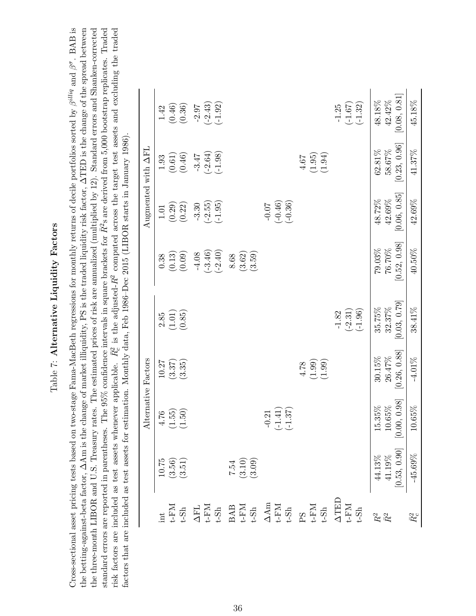### Table 7: Alternative Liquidity Factors  $Table 7:$  Alternative Liquidity Factors

<span id="page-36-0"></span>Cross-sectional asset pricing tests based on two-stage Fama-MacBeth regressions for monthly returns of decile portfolios sorted by  $\beta^{alliq}$  and  $\beta^{\sigma}$ . BAB is Cross-sectional asset pricing tests based on two-stage Fama-MacBeth regressions for monthly returns of decile portfolios sorted by  $\beta^{alliq}$  and  $\beta^{\sigma}$ . BAB is the betting-against-beta factor,  $\Delta A$ m is the change of market illiquidity, PS is the traded liquidity risk factor,  $\Delta TED$  is the change of the spread between the three-month LIBOR and U.S. Treasury rates. The estimated prices of risk are annualized (multiplied by 12). Standard errors and Shanken-corrected standard errors are reported in parentheses. The 95% confidence intervals in square brackets for  $\bar{R}^2$ s are derived from 5,000 bootstrap replicates. Traded risk factors are included as test assets whenever applicable.  $\bar{R}_c^2$  is the adjusted- $R^2$  computed across the target test assets and excluding the traded standard errors are reported in parentheses. The 95% confidence intervals in square brackets for  $\bar{R}^2$ s are derived from 5,000 bootstrap replicates. Traded risk factors are included as test assets whenever applicable.  $\bar{R}_c^2$  is the adjusted- $R^2$  computed across the target test assets and excluding the traded the betting-against-beta factor, ∆Am is the change of market illiquidity, PS is the traded liquidity risk factor, ∆TED is the change of the spread between the three-month LIBOR and U.S. Treasury rates. The estimated prices of risk are annualized (multiplied by 12). Standard errors and Shanken-corrected factors that are included as test assets for estimation. Monthly data, Feb 1986–Dec 2015 (LIBOR starts in January 1986). factors that are included as test assets for estimation. Monthly data, Feb 1986–Dec 2015 (LIBOR starts in January 1986).

|                     | $1.42\,$                | $(0.46)$             | (0.36)                                  | $-2.97$                                                                                                                                                                                                                                                                                                                                                                               | $(-2.43)$ | $(-1.92)$ |      |                                |        |         |           |           |        |        |        | $-1.25$                                                                         | $(-1.67)$ | $(-1.32)$ | 48.18%         | $42.42\%$ | [0.08, 0.81]                      | 45.18%                |
|---------------------|-------------------------|----------------------|-----------------------------------------|---------------------------------------------------------------------------------------------------------------------------------------------------------------------------------------------------------------------------------------------------------------------------------------------------------------------------------------------------------------------------------------|-----------|-----------|------|--------------------------------|--------|---------|-----------|-----------|--------|--------|--------|---------------------------------------------------------------------------------|-----------|-----------|----------------|-----------|-----------------------------------|-----------------------|
|                     | 1.93                    | $\left( 0.61\right)$ | (0.46)                                  | $-3.47$                                                                                                                                                                                                                                                                                                                                                                               | $(-2.64)$ | $(-1.98)$ |      |                                |        |         |           |           | $4.67$ | (1.95) | (1.94) |                                                                                 |           |           | 62.81%         | 58.67%    | [0.23, 0.96]                      | 41.37%                |
| Augmented with AFL  | $1.01\,$                | (0.29)               | (0.22)                                  | $-3.30$                                                                                                                                                                                                                                                                                                                                                                               | $(-2.55)$ | $(-1.95)$ |      |                                |        | $-0.07$ | $(-0.46)$ | $(-0.36)$ |        |        |        |                                                                                 |           |           | $48.72\%$      | 42.69%    | [0.06, 0.85]                      | 42.69%                |
|                     | 0.38                    | (0.13)               | (0.09)                                  | $-4.08$                                                                                                                                                                                                                                                                                                                                                                               | $(-3.46)$ | $(-2.40)$ | 8.68 | (3.62)                         | (3.59) |         |           |           |        |        |        |                                                                                 |           |           | $79.03\%$      | 76.70%    | [0.52, 0.98]                      | 40.50%                |
|                     | 2.85                    | (1.01)               | (0.85)                                  |                                                                                                                                                                                                                                                                                                                                                                                       |           |           |      |                                |        |         |           |           |        |        |        | $-1.82$                                                                         | $(-2.31)$ | $(-1.96)$ | 35.75%         | 32.37%    | [0.03, 0.79]                      | 38.41%                |
|                     | 10.27                   | (3.37)               | (3.35)                                  |                                                                                                                                                                                                                                                                                                                                                                                       |           |           |      |                                |        |         |           |           | 4.78   | (1.99) | (1.99) |                                                                                 |           |           | $30.15\%$      | 26.47%    | [0.26, 0.88]                      | $-4.01\%$             |
| Alternative Factors | 4.76                    | (1.55)               | (1.50)                                  |                                                                                                                                                                                                                                                                                                                                                                                       |           |           |      |                                |        | $-0.21$ | $(-1.41)$ | $(-1.37)$ |        |        |        |                                                                                 |           |           | 5.35%          | 0.65%     | [86, 0, 0.98]<br>$\overline{0}$ . | $0.65\%$<br>$\bar{a}$ |
|                     | 10.75                   |                      | $\left(3.56\right)$ $\left(3.51\right)$ |                                                                                                                                                                                                                                                                                                                                                                                       |           |           |      | $7.54$<br>$(3.10)$<br>$(3.09)$ |        |         |           |           |        |        |        |                                                                                 |           |           | $44.13\%$      | $41.19\%$ | $[0.53, 0.90]$                    | $-45.69\%$            |
|                     | $\overline{\mathbf{u}}$ |                      |                                         | $\begin{array}{l} \mbox{t-FM} \\ \mbox{t-Sh} \\ \mbox{t-Sh} \\ \mbox{t-Sh} \\ \mbox{t-Sh} \\ \mbox{t-Sh} \\ \mbox{t-Sh} \\ \mbox{t-Sh} \\ \mbox{t-Sh} \\ \mbox{t-Sh} \\ \mbox{t-Sh} \\ \mbox{t-Sh} \\ \mbox{t-Sh} \\ \mbox{t-Sh} \\ \mbox{t-Sh} \\ \mbox{t-Sh} \\ \mbox{t-Sh} \\ \mbox{t-Sh} \\ \mbox{t-Sh} \\ \mbox{t-Sh} \\ \mbox{t-Sh} \\ \mbox{t-Sh} \\ \mbox{t-Sh} \\ \mbox{t-S$ |           |           |      |                                |        |         |           |           |        |        |        | $\begin{array}{ll} \Delta \text{TED} \\ \text{t-FM} \\ \text{t-Sh} \end{array}$ |           |           | $\mathbb{R}^2$ |           |                                   | $\bar{R}_c^2$         |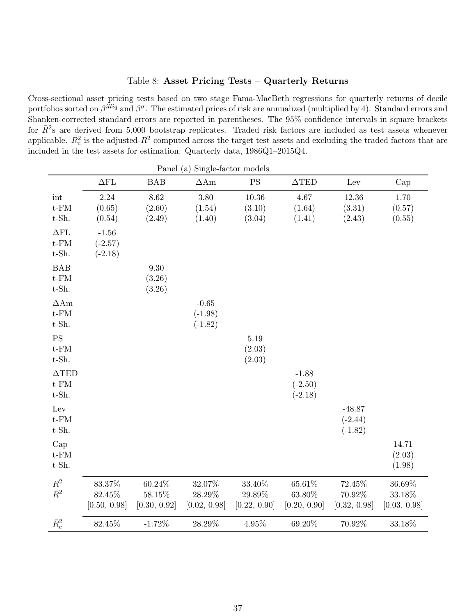### Table 8: Asset Pricing Tests – Quarterly Returns

<span id="page-37-0"></span>Cross-sectional asset pricing tests based on two stage Fama-MacBeth regressions for quarterly returns of decile portfolios sorted on  $\beta^{illiq}$  and  $\beta^{\sigma}$ . The estimated prices of risk are annualized (multiplied by 4). Standard errors and Shanken-corrected standard errors are reported in parentheses. The 95% confidence intervals in square brackets for  $\bar{R}^2$ s are derived from 5,000 bootstrap replicates. Traded risk factors are included as test assets whenever applicable.  $\bar{R}_c^2$  is the adjusted- $R^2$  computed across the target test assets and excluding the traded factors that are included in the test assets for estimation. Quarterly data, 1986Q1–2015Q4.

|                                                          |                                     |                                     | Panel (a) Single-factor models    |                                     |                                     |                                     |                                  |
|----------------------------------------------------------|-------------------------------------|-------------------------------------|-----------------------------------|-------------------------------------|-------------------------------------|-------------------------------------|----------------------------------|
|                                                          | $\Delta \text{FL}$                  | <b>BAB</b>                          | $\Delta A$ m                      | <b>PS</b>                           | $\triangle$ TED                     | Lev                                 | Cap                              |
| int<br>$\operatorname{t-FM}$<br>$t$ -Sh.                 | 2.24<br>(0.65)<br>(0.54)            | 8.62<br>(2.60)<br>(2.49)            | 3.80<br>(1.54)<br>(1.40)          | 10.36<br>(3.10)<br>(3.04)           | 4.67<br>(1.64)<br>(1.41)            | 12.36<br>(3.31)<br>(2.43)           | 1.70<br>(0.57)<br>(0.55)         |
| $\Delta \text{FL}$<br>$t$ - $FM$<br>$t$ -Sh.             | $-1.56$<br>$(-2.57)$<br>$(-2.18)$   |                                     |                                   |                                     |                                     |                                     |                                  |
| <b>BAB</b><br>$\operatorname{t-FM}$<br>$t$ -Sh.          |                                     | $9.30\,$<br>(3.26)<br>(3.26)        |                                   |                                     |                                     |                                     |                                  |
| $\Delta\mathrm{Am}$<br>$\operatorname{t-FM}$<br>$t$ -Sh. |                                     |                                     | $-0.65$<br>$(-1.98)$<br>$(-1.82)$ |                                     |                                     |                                     |                                  |
| PS<br>$\operatorname{t-FM}$<br>$t$ -Sh.                  |                                     |                                     |                                   | 5.19<br>(2.03)<br>(2.03)            |                                     |                                     |                                  |
| $\Delta \text{TED}$<br>$\operatorname{t-FM}$<br>$t$ -Sh. |                                     |                                     |                                   |                                     | $-1.88$<br>$(-2.50)$<br>$(-2.18)$   |                                     |                                  |
| Lev<br>$\operatorname{t-FM}$<br>$t$ -Sh.                 |                                     |                                     |                                   |                                     |                                     | $-48.87$<br>$(-2.44)$<br>$(-1.82)$  |                                  |
| Cap<br>$t$ - $FM$<br>$t$ -Sh.                            |                                     |                                     |                                   |                                     |                                     |                                     | 14.71<br>(2.03)<br>(1.98)        |
| $\mathbb{R}^2$<br>$\bar{R}^2$                            | $83.37\%$<br>82.45%<br>[0.50, 0.98] | $60.24\%$<br>58.15%<br>[0.30, 0.92] | 32.07%<br>28.29%<br>[0.02, 0.98]  | $33.40\%$<br>29.89%<br>[0.22, 0.90] | $65.61\%$<br>63.80%<br>[0.20, 0.90] | $72.45\%$<br>70.92%<br>[0.32, 0.98] | 36.69%<br>33.18%<br>[0.03, 0.98] |
| $\bar{R}_c^2$                                            | $82.45\%$                           | $-1.72%$                            | 28.29%                            | 4.95%                               | 69.20%                              | 70.92%                              | 33.18%                           |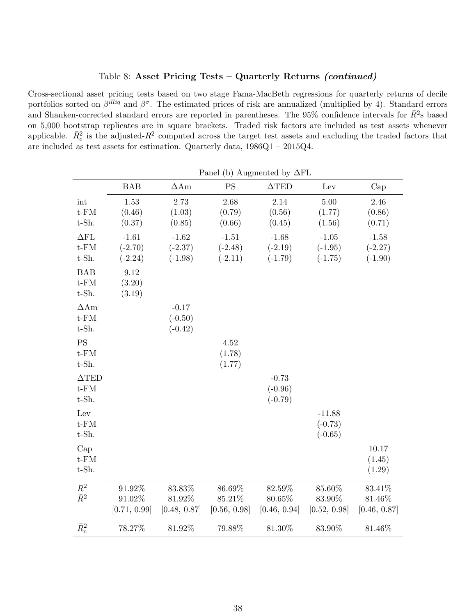### Table 8: Asset Pricing Tests – Quarterly Returns (continued)

<span id="page-38-0"></span>Cross-sectional asset pricing tests based on two stage Fama-MacBeth regressions for quarterly returns of decile portfolios sorted on  $\beta^{illiq}$  and  $\beta^{\sigma}$ . The estimated prices of risk are annualized (multiplied by 4). Standard errors and Shanken-corrected standard errors are reported in parentheses. The 95% confidence intervals for  $\bar{R}^2$ s based on 5,000 bootstrap replicates are in square brackets. Traded risk factors are included as test assets whenever applicable.  $\bar{R}_c^2$  is the adjusted- $R^2$  computed across the target test assets and excluding the traded factors that are included as test assets for estimation. Quarterly data, 1986Q1 – 2015Q4.

|                                               | Panel (b) Augmented by $\Delta FL$  |                                     |                                     |                                     |                                    |                                     |
|-----------------------------------------------|-------------------------------------|-------------------------------------|-------------------------------------|-------------------------------------|------------------------------------|-------------------------------------|
|                                               | <b>BAB</b>                          | $\Delta A$ m                        | <b>PS</b>                           | $\triangle$ TED                     | Lev                                | Cap                                 |
| int<br>$t$ - $FM$<br>$t$ -Sh.                 | 1.53<br>(0.46)<br>(0.37)            | 2.73<br>(1.03)<br>(0.85)            | 2.68<br>(0.79)<br>(0.66)            | 2.14<br>(0.56)<br>(0.45)            | 5.00<br>(1.77)<br>(1.56)           | 2.46<br>(0.86)<br>(0.71)            |
| $\Delta \text{FL}$<br>$t$ - $FM$<br>$t$ -Sh.  | $-1.61$<br>$(-2.70)$<br>$(-2.24)$   | $-1.62$<br>$(-2.37)$<br>$(-1.98)$   | $-1.51$<br>$(-2.48)$<br>$(-2.11)$   | $-1.68$<br>$(-2.19)$<br>$(-1.79)$   | $-1.05$<br>$(-1.95)$<br>$(-1.75)$  | $-1.58$<br>$(-2.27)$<br>$(-1.90)$   |
| BAB<br>$t$ - $FM$<br>$t$ -Sh.                 | 9.12<br>(3.20)<br>(3.19)            |                                     |                                     |                                     |                                    |                                     |
| $\Delta A$ m<br>$t$ - $FM$<br>$t$ -Sh.        |                                     | $-0.17$<br>$(-0.50)$<br>$(-0.42)$   |                                     |                                     |                                    |                                     |
| <b>PS</b><br>$t$ - $FM$<br>t-Sh.              |                                     |                                     | 4.52<br>(1.78)<br>(1.77)            |                                     |                                    |                                     |
| $\Delta \text{TED}$<br>$t$ - $FM$<br>$t$ -Sh. |                                     |                                     |                                     | $-0.73$<br>$(-0.96)$<br>$(-0.79)$   |                                    |                                     |
| Lev<br>$t$ - $FM$<br>$t$ -Sh.                 |                                     |                                     |                                     |                                     | $-11.88$<br>$(-0.73)$<br>$(-0.65)$ |                                     |
| Cap<br>$t$ - $FM$<br>$t$ -Sh.                 |                                     |                                     |                                     |                                     |                                    | 10.17<br>(1.45)<br>(1.29)           |
| $R^2$<br>$\bar{R}^2$                          | $91.92\%$<br>91.02%<br>[0.71, 0.99] | $83.83\%$<br>81.92%<br>[0.48, 0.87] | $86.69\%$<br>85.21%<br>[0.56, 0.98] | 82.59%<br>$80.65\%$<br>[0.46, 0.94] | 85.60%<br>83.90%<br>[0.52, 0.98]   | 83.41%<br>$81.46\%$<br>[0.46, 0.87] |
| $\bar{R}_c^2$                                 | 78.27%                              | 81.92%                              | 79.88%                              | 81.30%                              | 83.90%                             | $81.46\%$                           |